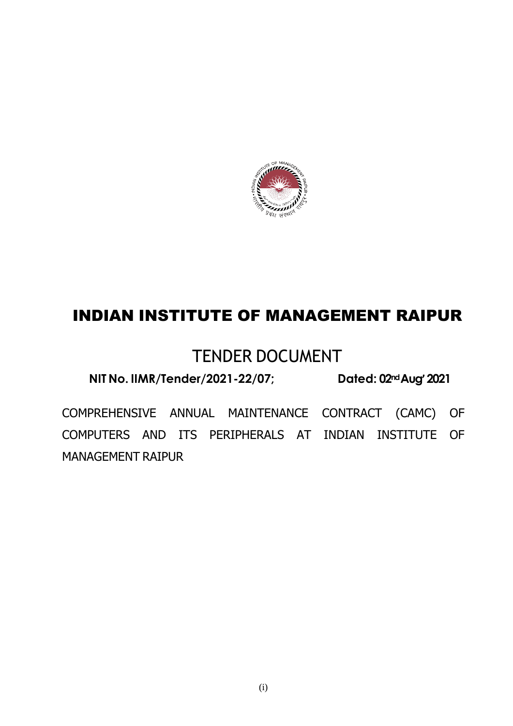

## INDIAN INSTITUTE OF MANAGEMENT RAIPUR

## TENDER DOCUMENT

**NIT No. IIMR/Tender/2021-22/07; Dated: 02ndAug'2021**

COMPREHENSIVE ANNUAL MAINTENANCE CONTRACT (CAMC) OF COMPUTERS AND ITS PERIPHERALS AT INDIAN INSTITUTE OF MANAGEMENT RAIPUR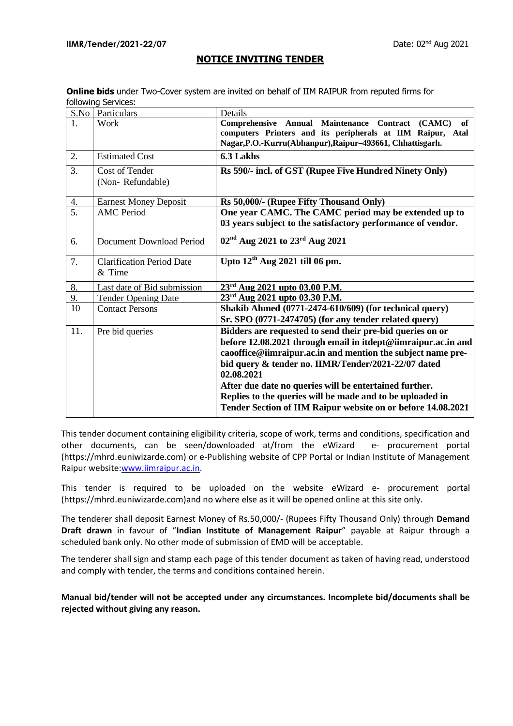#### **NOTICE INVITING TENDER**

| <b>Online bids</b> under Two-Cover system are invited on behalf of IIM RAIPUR from reputed firms for |  |
|------------------------------------------------------------------------------------------------------|--|
| following Services:                                                                                  |  |

| S.No | Particulars                                | Details                                                                                                                 |
|------|--------------------------------------------|-------------------------------------------------------------------------------------------------------------------------|
|      | Work                                       | Comprehensive Annual Maintenance Contract<br>(CAMC)<br>of<br>computers Printers and its peripherals at IIM Raipur, Atal |
|      |                                            | Nagar, P.O.-Kurru(Abhanpur), Raipur-493661, Chhattisgarh.                                                               |
| 2.   | <b>Estimated Cost</b>                      | 6.3 Lakhs                                                                                                               |
| 3.   | Cost of Tender                             | Rs 590/- incl. of GST (Rupee Five Hundred Ninety Only)                                                                  |
|      | (Non-Refundable)                           |                                                                                                                         |
| 4.   | <b>Earnest Money Deposit</b>               | Rs 50,000/- (Rupee Fifty Thousand Only)                                                                                 |
| 5.   | <b>AMC</b> Period                          | One year CAMC. The CAMC period may be extended up to<br>03 years subject to the satisfactory performance of vendor.     |
| 6.   | Document Download Period                   | $02nd$ Aug 2021 to 23 <sup>rd</sup> Aug 2021                                                                            |
| 7.   | <b>Clarification Period Date</b><br>& Time | Upto $12^{th}$ Aug 2021 till 06 pm.                                                                                     |
| 8.   | Last date of Bid submission                | $23^{\text{rd}}$ Aug 2021 upto 03.00 P.M.                                                                               |
| 9.   | <b>Tender Opening Date</b>                 | 23 <sup>rd</sup> Aug 2021 upto 03.30 P.M.                                                                               |
| 10   | <b>Contact Persons</b>                     | Shakib Ahmed (0771-2474-610/609) (for technical query)                                                                  |
|      |                                            | Sr. SPO (0771-2474705) (for any tender related query)                                                                   |
| 11.  | Pre bid queries                            | Bidders are requested to send their pre-bid queries on or                                                               |
|      |                                            | before 12.08.2021 through email in itdept@iimraipur.ac.in and                                                           |
|      |                                            | caooffice@iimraipur.ac.in and mention the subject name pre-                                                             |
|      |                                            | bid query & tender no. IIMR/Tender/2021-22/07 dated                                                                     |
|      |                                            | 02.08.2021                                                                                                              |
|      |                                            | After due date no queries will be entertained further.                                                                  |
|      |                                            | Replies to the queries will be made and to be uploaded in                                                               |
|      |                                            | Tender Section of IIM Raipur website on or before 14.08.2021                                                            |
|      |                                            |                                                                                                                         |

This tender document containing eligibility criteria, scope of work, terms and conditions, specification and other documents, can be seen/downloaded at/from the eWizard e- procurement portal (https://mhrd.euniwizarde.com) or e-Publishing website of CPP Portal or Indian Institute of Management Raipur website[:www.iimraipur.ac.in](http://www.iimraipur.ac.in/)[.](http://www.iimu.ac.in/)

This tender is required to be uploaded on the website eWizard e- procurement portal (https://mhrd.euniwizarde.com)and no where else as it will be opened online at this site only.

The tenderer shall deposit Earnest Money of Rs.50,000/- (Rupees Fifty Thousand Only) through **Demand Draft drawn** in favour of "**Indian Institute of Management Raipur**" payable at Raipur through a scheduled bank only. No other mode of submission of EMD will be acceptable.

The tenderer shall sign and stamp each page of this tender document as taken of having read, understood and comply with tender, the terms and conditions contained herein.

**Manual bid/tender will not be accepted under any circumstances. Incomplete bid/documents shall be rejected without giving any reason.**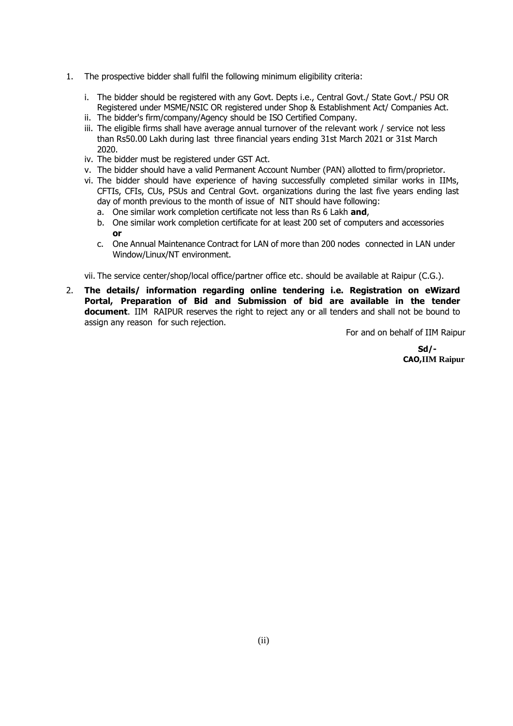- 1. The prospective bidder shall fulfil the following minimum eligibility criteria:
	- i. The bidder should be registered with any Govt. Depts i.e., Central Govt./ State Govt./ PSU OR Registered under MSME/NSIC OR registered under Shop & Establishment Act/ Companies Act.
	- ii. The bidder's firm/company/Agency should be ISO Certified Company.
	- iii. The eligible firms shall have average annual turnover of the relevant work / service not less than Rs50.00 Lakh during last three financial years ending 31st March 2021 or 31st March 2020.
	- iv. The bidder must be registered under GST Act.
	- v. The bidder should have a valid Permanent Account Number (PAN) allotted to firm/proprietor.
	- vi. The bidder should have experience of having successfully completed similar works in IIMs, CFTIs, CFIs, CUs, PSUs and Central Govt. organizations during the last five years ending last day of month previous to the month of issue of NIT should have following:
		- a. One similar work completion certificate not less than Rs 6 Lakh **and**,
		- b. One similar work completion certificate for at least 200 set of computers and accessories **or**
		- c. One Annual Maintenance Contract for LAN of more than 200 nodes connected in LAN under Window/Linux/NT environment.

vii. The service center/shop/local office/partner office etc. should be available at Raipur (C.G.).

2. **The details/ information regarding online tendering i.e. Registration on eWizard Portal, Preparation of Bid and Submission of bid are available in the tender document**. IIM RAIPUR reserves the right to reject any or all tenders and shall not be bound to assign any reason for such rejection.

For and on behalf of IIM Raipur

**Sd/- CAO,IIM Raipur**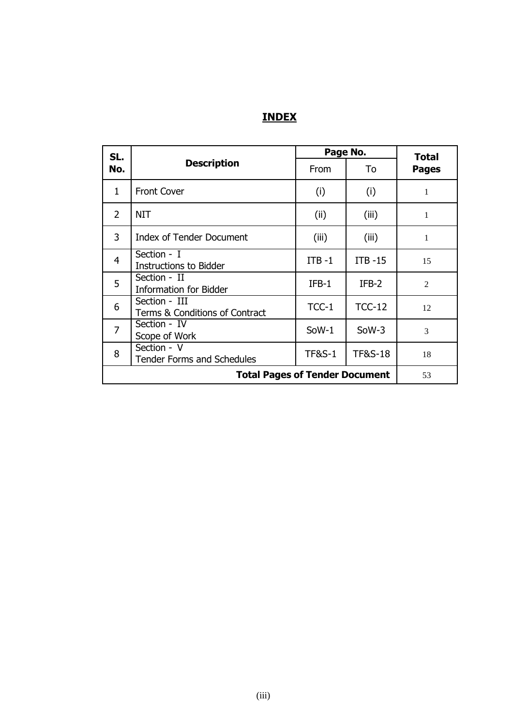## **INDEX**

| SL.                                                  |                                                  | Page No.          |                    |                              |  |
|------------------------------------------------------|--------------------------------------------------|-------------------|--------------------|------------------------------|--|
| No.                                                  | <b>Description</b>                               | From              | To                 | <b>Total</b><br><b>Pages</b> |  |
| 1                                                    | <b>Front Cover</b>                               | (i)               | (i)                | 1                            |  |
| $\overline{2}$                                       | <b>NIT</b>                                       | (ii)              | (iii)              | 1                            |  |
| 3                                                    | <b>Index of Tender Document</b>                  |                   | (iii)              | 1                            |  |
| 4                                                    | Section - I<br><b>Instructions to Bidder</b>     | $ITB -1$          | $ITB -15$          | 15                           |  |
| 5                                                    | Section - II<br><b>Information for Bidder</b>    |                   | $IFB-2$            | $\overline{2}$               |  |
| Section - III<br>6<br>Terms & Conditions of Contract |                                                  | $TCC-1$           | $TCC-12$           | 12                           |  |
| $\overline{7}$                                       | Section - IV<br>Scope of Work                    | SoW-1             | $S0W-3$            | 3                            |  |
| 8                                                    | Section - V<br><b>Tender Forms and Schedules</b> | <b>TF&amp;S-1</b> | <b>TF&amp;S-18</b> | 18                           |  |
|                                                      | <b>Total Pages of Tender Document</b>            |                   |                    |                              |  |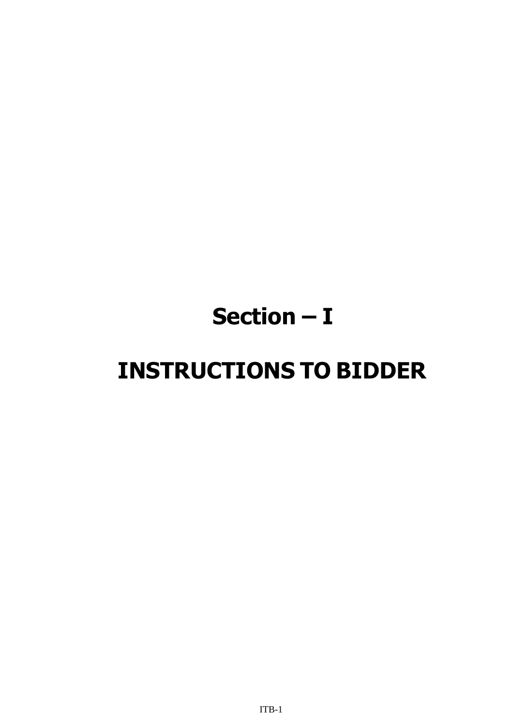# **Section – I**

# **INSTRUCTIONS TO BIDDER**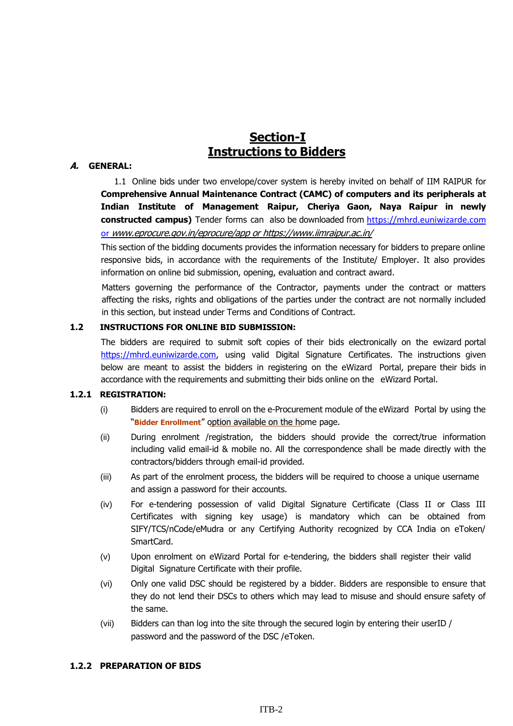## **Section-I Instructions to Bidders**

#### **A. GENERAL:**

1.1 Online bids under two envelope/cover system is hereby invited on behalf of IIM RAIPUR for **Comprehensive Annual Maintenance Contract (CAMC) of computers and its peripherals at Indian Institute of Management Raipur, Cheriya Gaon, Naya Raipur in newly constructed campus)** Tender forms can also be downloaded from [https://mhrd.euniwizarde.com](https://mhrd.euniwizarde.com/) or [www.eprocure.gov.in/eprocure/app](http://www.eprocure.gov.in/eprocure/app) or https://www.iimraipur.ac.in/

This section of the bidding documents provides the information necessary for bidders to prepare online responsive bids, in accordance with the requirements of the Institute/ Employer. It also provides information on online bid submission, opening, evaluation and contract award.

Matters governing the performance of the Contractor, payments under the contract or matters affecting the risks, rights and obligations of the parties under the contract are not normally included in this section, but instead under Terms and Conditions of Contract.

#### **1.2 INSTRUCTIONS FOR ONLINE BID SUBMISSION:**

The bidders are required to submit soft copies of their bids electronically on the ewizard portal [https://mhrd.euniwizarde.com,](https://mhrd.euniwizarde.com/) using valid Digital Signature Certificates. The instructions given below are meant to assist the bidders in registering on the eWizard Portal, prepare their bids in accordance with the requirements and submitting their bids online on the eWizard Portal.

#### **1.2.1 REGISTRATION:**

- (i) Bidders are required to enroll on the e-Procurement module of the eWizard Portal by using the "**Bidder [Enrollment](https://eprocure.gov.in/eprocure/app%3Bjsessionid%3DA512B4033BE50EA69FB12EA32AA58209.eprocgep3?component=%24WebHomeBorder.%24WebRightMenu.%24DirectLink&page=Home&service=direct&session=T)**" option available on the home page.
- (ii) During enrolment /registration, the bidders should provide the correct/true information including valid email-id & mobile no. All the correspondence shall be made directly with the contractors/bidders through email-id provided.
- (iii) As part of the enrolment process, the bidders will be required to choose a unique username and assign a password for their accounts.
- (iv) For e-tendering possession of valid Digital Signature Certificate (Class II or Class III Certificates with signing key usage) is mandatory which can be obtained from SIFY/TCS/nCode/eMudra or any Certifying Authority recognized by CCA India on eToken/ SmartCard.
- (v) Upon enrolment on eWizard Portal for e-tendering, the bidders shall register their valid Digital Signature Certificate with their profile.
- (vi) Only one valid DSC should be registered by a bidder. Bidders are responsible to ensure that they do not lend their DSCs to others which may lead to misuse and should ensure safety of the same.
- (vii) Bidders can than log into the site through the secured login by entering their userID / password and the password of the DSC /eToken.

#### **1.2.2 PREPARATION OF BIDS**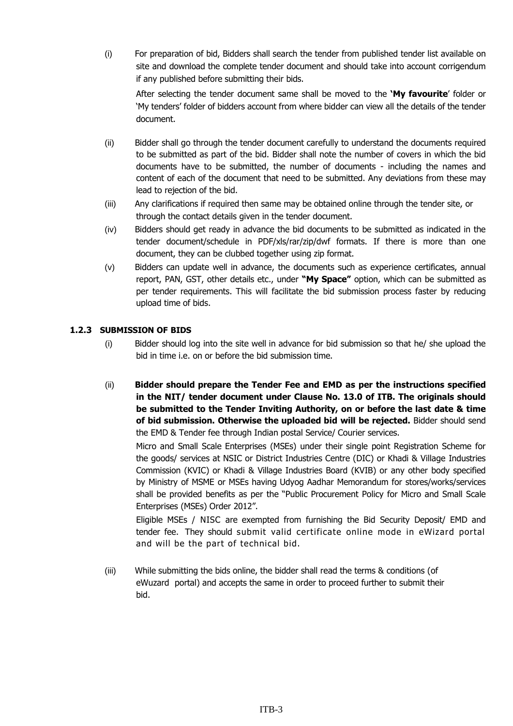(i) For preparation of bid, Bidders shall search the tender from published tender list available on site and download the complete tender document and should take into account corrigendum if any published before submitting their bids.

After selecting the tender document same shall be moved to the **'My favourite**' folder or 'My tenders' folder of bidders account from where bidder can view all the details of the tender document.

- (ii) Bidder shall go through the tender document carefully to understand the documents required to be submitted as part of the bid. Bidder shall note the number of covers in which the bid documents have to be submitted, the number of documents - including the names and content of each of the document that need to be submitted. Any deviations from these may lead to rejection of the bid.
- (iii) Any clarifications if required then same may be obtained online through the tender site, or through the contact details given in the tender document.
- (iv) Bidders should get ready in advance the bid documents to be submitted as indicated in the tender document/schedule in PDF/xls/rar/zip/dwf formats. If there is more than one document, they can be clubbed together using zip format.
- (v) Bidders can update well in advance, the documents such as experience certificates, annual report, PAN, GST, other details etc., under **"My Space"** option, which can be submitted as per tender requirements. This will facilitate the bid submission process faster by reducing upload time of bids.

#### **1.2.3 SUBMISSION OF BIDS**

- (i) Bidder should log into the site well in advance for bid submission so that he/ she upload the bid in time i.e. on or before the bid submission time.
- (ii) **Bidder should prepare the Tender Fee and EMD as per the instructions specified in the NIT/ tender document under Clause No. 13.0 of ITB. The originals should be submitted to the Tender Inviting Authority, on or before the last date & time of bid submission. Otherwise the uploaded bid will be rejected.** Bidder should send the EMD & Tender fee through Indian postal Service/ Courier services.

Micro and Small Scale Enterprises (MSEs) under their single point Registration Scheme for the goods/ services at NSIC or District Industries Centre (DIC) or Khadi & Village Industries Commission (KVIC) or Khadi & Village Industries Board (KVIB) or any other body specified by Ministry of MSME or MSEs having Udyog Aadhar Memorandum for stores/works/services shall be provided benefits as per the "Public Procurement Policy for Micro and Small Scale Enterprises (MSEs) Order 2012".

Eligible MSEs / NISC are exempted from furnishing the Bid Security Deposit/ EMD and tender fee. They should submit valid certificate online mode in eWizard portal and will be the part of technical bid.

(iii) While submitting the bids online, the bidder shall read the terms & conditions (of eWuzard portal) and accepts the same in order to proceed further to submit their bid.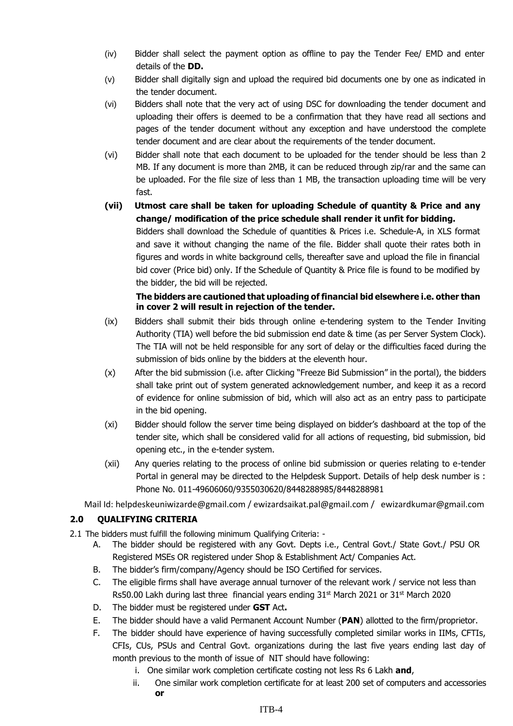- (iv) Bidder shall select the payment option as offline to pay the Tender Fee/ EMD and enter details of the **DD.**
- (v) Bidder shall digitally sign and upload the required bid documents one by one as indicated in the tender document.
- (vi) Bidders shall note that the very act of using DSC for downloading the tender document and uploading their offers is deemed to be a confirmation that they have read all sections and pages of the tender document without any exception and have understood the complete tender document and are clear about the requirements of the tender document.
- (vi) Bidder shall note that each document to be uploaded for the tender should be less than 2 MB. If any document is more than 2MB, it can be reduced through zip/rar and the same can be uploaded. For the file size of less than 1 MB, the transaction uploading time will be very fast.
- **(vii) Utmost care shall be taken for uploading Schedule of quantity & Price and any change/ modification of the price schedule shall render it unfit for bidding.** Bidders shall download the Schedule of quantities & Prices i.e. Schedule-A, in XLS format and save it without changing the name of the file. Bidder shall quote their rates both in figures and words in white background cells, thereafter save and upload the file in financial bid cover (Price bid) only. If the Schedule of Quantity & Price file is found to be modified by the bidder, the bid will be rejected.

#### **The bidders are cautioned that uploading of financial bid elsewhere i.e. other than in cover 2 will result in rejection of the tender.**

- (ix) Bidders shall submit their bids through online e-tendering system to the Tender Inviting Authority (TIA) well before the bid submission end date & time (as per Server System Clock). The TIA will not be held responsible for any sort of delay or the difficulties faced during the submission of bids online by the bidders at the eleventh hour.
- (x) After the bid submission (i.e. after Clicking "Freeze Bid Submission" in the portal), the bidders shall take print out of system generated acknowledgement number, and keep it as a record of evidence for online submission of bid, which will also act as an entry pass to participate in the bid opening.
- (xi) Bidder should follow the server time being displayed on bidder's dashboard at the top of the tender site, which shall be considered valid for all actions of requesting, bid submission, bid opening etc., in the e-tender system.
- (xii) Any queries relating to the process of online bid submission or queries relating to e-tender Portal in general may be directed to the Helpdesk Support. Details of help desk number is : Phone No. 011-49606060/9355030620/8448288985/8448288981

Mail Id: helpdeskeuniwizarde@gmail.com / ewizardsaikat.pal@gmail.com / ewizardkumar@gmail.com

#### **2.0 QUALIFYING CRITERIA**

- 2.1 The bidders must fulfill the following minimum Qualifying Criteria:
	- A. The bidder should be registered with any Govt. Depts i.e., Central Govt./ State Govt./ PSU OR Registered MSEs OR registered under Shop & Establishment Act/ Companies Act.
	- B. The bidder's firm/company/Agency should be ISO Certified for services.
	- C. The eligible firms shall have average annual turnover of the relevant work / service not less than Rs50.00 Lakh during last three financial years ending  $31<sup>st</sup>$  March 2021 or  $31<sup>st</sup>$  March 2020
	- D. The bidder must be registered under **GST** Act**.**
	- E. The bidder should have a valid Permanent Account Number (**PAN**) allotted to the firm/proprietor.
	- F. The bidder should have experience of having successfully completed similar works in IIMs, CFTIs, CFIs, CUs, PSUs and Central Govt. organizations during the last five years ending last day of month previous to the month of issue of NIT should have following:
		- i. One similar work completion certificate costing not less Rs 6 Lakh **and**,
		- ii. One similar work completion certificate for at least 200 set of computers and accessories **or**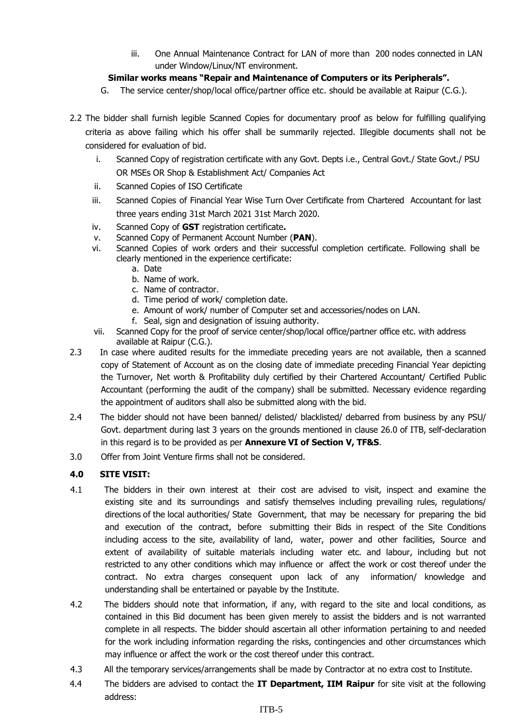iii. One Annual Maintenance Contract for LAN of more than 200 nodes connected in LAN under Window/Linux/NT environment.

#### **Similar works means "Repair and Maintenance of Computers or its Peripherals".**

- G. The service center/shop/local office/partner office etc. should be available at Raipur (C.G.).
- 2.2 The bidder shall furnish legible Scanned Copies for documentary proof as below for fulfilling qualifying criteria as above failing which his offer shall be summarily rejected. Illegible documents shall not be considered for evaluation of bid.
	- i. Scanned Copy of registration certificate with any Govt. Depts i.e., Central Govt./ State Govt./ PSU OR MSEs OR Shop & Establishment Act/ Companies Act
	- ii. Scanned Copies of ISO Certificate
	- iii. Scanned Copies of Financial Year Wise Turn Over Certificate from Chartered Accountant for last three years ending 31st March 2021 31st March 2020.
	- iv. Scanned Copy of **GST** registration certificate**.**
	- v. Scanned Copy of Permanent Account Number (**PAN**).
	- vi. Scanned Copies of work orders and their successful completion certificate. Following shall be clearly mentioned in the experience certificate:
		- a. Date
		- b. Name of work.
		- c. Name of contractor.
		- d. Time period of work/ completion date.
		- e. Amount of work/ number of Computer set and accessories/nodes on LAN.
		- f. Seal, sign and designation of issuing authority.
	- vii. Scanned Copy for the proof of service center/shop/local office/partner office etc. with address available at Raipur (C.G.).
- 2.3 In case where audited results for the immediate preceding years are not available, then a scanned copy of Statement of Account as on the closing date of immediate preceding Financial Year depicting the Turnover, Net worth & Profitability duly certified by their Chartered Accountant/ Certified Public Accountant (performing the audit of the company) shall be submitted. Necessary evidence regarding the appointment of auditors shall also be submitted along with the bid.
- 2.4 The bidder should not have been banned/ delisted/ blacklisted/ debarred from business by any PSU/ Govt. department during last 3 years on the grounds mentioned in clause 26.0 of ITB, self-declaration in this regard is to be provided as per **Annexure VI of Section V, TF&S**.
- 3.0 Offer from Joint Venture firms shall not be considered.

#### **4.0 SITE VISIT:**

- 4.1 The bidders in their own interest at their cost are advised to visit, inspect and examine the existing site and its surroundings and satisfy themselves including prevailing rules, regulations/ directions of the local authorities/ State Government, that may be necessary for preparing the bid and execution of the contract, before submitting their Bids in respect of the Site Conditions including access to the site, availability of land, water, power and other facilities, Source and extent of availability of suitable materials including water etc. and labour, including but not restricted to any other conditions which may influence or affect the work or cost thereof under the contract. No extra charges consequent upon lack of any information/ knowledge and understanding shall be entertained or payable by the Institute.
- 4.2 The bidders should note that information, if any, with regard to the site and local conditions, as contained in this Bid document has been given merely to assist the bidders and is not warranted complete in all respects. The bidder should ascertain all other information pertaining to and needed for the work including information regarding the risks, contingencies and other circumstances which may influence or affect the work or the cost thereof under this contract.
- 4.3 All the temporary services/arrangements shall be made by Contractor at no extra cost to Institute.
- 4.4 The bidders are advised to contact the **IT Department, IIM Raipur** for site visit at the following address: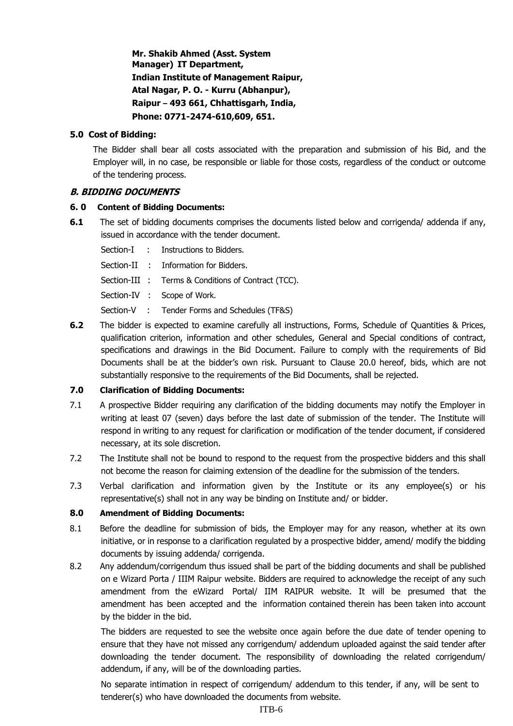**Mr. Shakib Ahmed (Asst. System Manager) IT Department, Indian Institute of Management Raipur, Atal Nagar, P. O. - Kurru (Abhanpur), Raipur – 493 661, Chhattisgarh, India, Phone: 0771-2474-610,609, 651.**

#### **5.0 Cost of Bidding:**

The Bidder shall bear all costs associated with the preparation and submission of his Bid, and the Employer will, in no case, be responsible or liable for those costs, regardless of the conduct or outcome of the tendering process.

#### **B. BIDDING DOCUMENTS**

#### **6. 0 Content of Bidding Documents:**

- **6.1** The set of bidding documents comprises the documents listed below and corrigenda/ addenda if any, issued in accordance with the tender document.
	- Section-I : Instructions to Bidders.
	- Section-II : Information for Bidders.
	- Section-III : Terms & Conditions of Contract (TCC).
	- Section-IV : Scope of Work.
	- Section-V : Tender Forms and Schedules (TF&S)
- **6.2** The bidder is expected to examine carefully all instructions, Forms, Schedule of Quantities & Prices, qualification criterion, information and other schedules, General and Special conditions of contract, specifications and drawings in the Bid Document. Failure to comply with the requirements of Bid Documents shall be at the bidder's own risk. Pursuant to Clause 20.0 hereof, bids, which are not substantially responsive to the requirements of the Bid Documents, shall be rejected.

#### **7.0 Clarification of Bidding Documents:**

- 7.1 A prospective Bidder requiring any clarification of the bidding documents may notify the Employer in writing at least 07 (seven) days before the last date of submission of the tender. The Institute will respond in writing to any request for clarification or modification of the tender document, if considered necessary, at its sole discretion.
- 7.2 The Institute shall not be bound to respond to the request from the prospective bidders and this shall not become the reason for claiming extension of the deadline for the submission of the tenders.
- 7.3 Verbal clarification and information given by the Institute or its any employee(s) or his representative(s) shall not in any way be binding on Institute and/ or bidder.

#### **8.0 Amendment of Bidding Documents:**

- 8.1 Before the deadline for submission of bids, the Employer may for any reason, whether at its own initiative, or in response to a clarification regulated by a prospective bidder, amend/ modify the bidding documents by issuing addenda/ corrigenda.
- 8.2 Any addendum/corrigendum thus issued shall be part of the bidding documents and shall be published on e Wizard Porta / IIIM Raipur website. Bidders are required to acknowledge the receipt of any such amendment from the eWizard Portal/ IIM RAIPUR website. It will be presumed that the amendment has been accepted and the information contained therein has been taken into account by the bidder in the bid.

The bidders are requested to see the website once again before the due date of tender opening to ensure that they have not missed any corrigendum/ addendum uploaded against the said tender after downloading the tender document. The responsibility of downloading the related corrigendum/ addendum, if any, will be of the downloading parties.

No separate intimation in respect of corrigendum/ addendum to this tender, if any, will be sent to tenderer(s) who have downloaded the documents from website.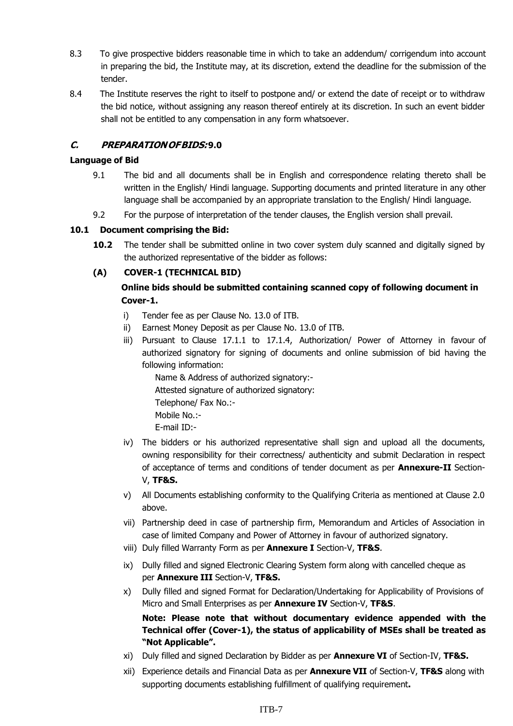- 8.3 To give prospective bidders reasonable time in which to take an addendum/ corrigendum into account in preparing the bid, the Institute may, at its discretion, extend the deadline for the submission of the tender.
- 8.4 The Institute reserves the right to itself to postpone and/ or extend the date of receipt or to withdraw the bid notice, without assigning any reason thereof entirely at its discretion. In such an event bidder shall not be entitled to any compensation in any form whatsoever.

#### **C. PREPARATIONOFBIDS:9.0**

#### **Language of Bid**

- 9.1 The bid and all documents shall be in English and correspondence relating thereto shall be written in the English/ Hindi language. Supporting documents and printed literature in any other language shall be accompanied by an appropriate translation to the English/ Hindi language.
- 9.2 For the purpose of interpretation of the tender clauses, the English version shall prevail.

#### **10.1 Document comprising the Bid:**

**10.2** The tender shall be submitted online in two cover system duly scanned and digitally signed by the authorized representative of the bidder as follows:

#### **(A) COVER-1 (TECHNICAL BID)**

#### **Online bids should be submitted containing scanned copy of following document in Cover-1.**

- i) Tender fee as per Clause No. 13.0 of ITB.
- ii) Earnest Money Deposit as per Clause No. 13.0 of ITB.
- iii) Pursuant to Clause 17.1.1 to 17.1.4, Authorization/ Power of Attorney in favour of authorized signatory for signing of documents and online submission of bid having the following information:

Name & Address of authorized signatory:- Attested signature of authorized signatory: Telephone/ Fax No.:- Mobile No.:- E-mail ID:-

- iv) The bidders or his authorized representative shall sign and upload all the documents, owning responsibility for their correctness/ authenticity and submit Declaration in respect of acceptance of terms and conditions of tender document as per **Annexure-II** Section-V, **TF&S.**
- v) All Documents establishing conformity to the Qualifying Criteria as mentioned at Clause 2.0 above.
- vii) Partnership deed in case of partnership firm, Memorandum and Articles of Association in case of limited Company and Power of Attorney in favour of authorized signatory.
- viii) Duly filled Warranty Form as per **Annexure I** Section-V, **TF&S**.
- ix) Dully filled and signed Electronic Clearing System form along with cancelled cheque as per **Annexure III** Section-V, **TF&S.**
- x) Dully filled and signed Format for Declaration/Undertaking for Applicability of Provisions of Micro and Small Enterprises as per **Annexure IV** Section-V, **TF&S**.

**Note: Please note that without documentary evidence appended with the Technical offer (Cover-1), the status of applicability of MSEs shall be treated as "Not Applicable".**

- xi) Duly filled and signed Declaration by Bidder as per **Annexure VI** of Section-IV, **TF&S.**
- xii) Experience details and Financial Data as per **Annexure VII** of Section-V, **TF&S** along with supporting documents establishing fulfillment of qualifying requirement**.**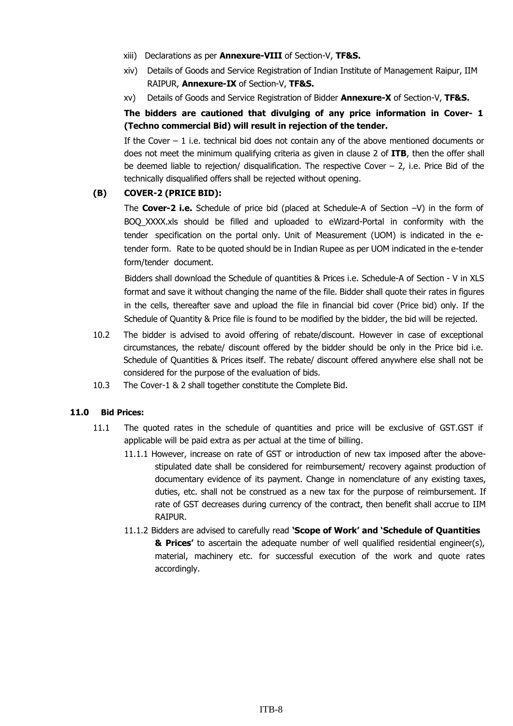- xiii) Declarations as per **Annexure-VIII** of Section-V, **TF&S.**
- xiv) Details of Goods and Service Registration of Indian Institute of Management Raipur, IIM RAIPUR, **Annexure-IX** of Section-V, **TF&S.**
- xv) Details of Goods and Service Registration of Bidder **Annexure-X** of Section-V, **TF&S.**

#### **The bidders are cautioned that divulging of any price information in Cover- 1 (Techno commercial Bid) will result in rejection of the tender.**

If the Cover  $-1$  i.e. technical bid does not contain any of the above mentioned documents or does not meet the minimum qualifying criteria as given in clause 2 of **ITB**, then the offer shall be deemed liable to rejection/ disqualification. The respective Cover  $-$  2, i.e. Price Bid of the technically disqualified offers shall be rejected without opening.

#### **(B) COVER-2 (PRICE BID):**

The **Cover-2 i.e.** Schedule of price bid (placed at Schedule-A of Section –V) in the form of BOQ\_XXXX.xls should be filled and uploaded to eWizard-Portal in conformity with the tender specification on the portal only. Unit of Measurement (UOM) is indicated in the etender form. Rate to be quoted should be in Indian Rupee as per UOM indicated in the e-tender form/tender document.

Bidders shall download the Schedule of quantities & Prices i.e. Schedule-A of Section - V in XLS format and save it without changing the name of the file. Bidder shall quote their rates in figures in the cells, thereafter save and upload the file in financial bid cover (Price bid) only. If the Schedule of Quantity & Price file is found to be modified by the bidder, the bid will be rejected.

- 10.2 The bidder is advised to avoid offering of rebate/discount. However in case of exceptional circumstances, the rebate/ discount offered by the bidder should be only in the Price bid i.e. Schedule of Quantities & Prices itself. The rebate/ discount offered anywhere else shall not be considered for the purpose of the evaluation of bids.
- 10.3 The Cover-1 & 2 shall together constitute the Complete Bid.

#### **11.0 Bid Prices:**

- 11.1 The quoted rates in the schedule of quantities and price will be exclusive of GST.GST if applicable will be paid extra as per actual at the time of billing.
	- 11.1.1 However, increase on rate of GST or introduction of new tax imposed after the abovestipulated date shall be considered for reimbursement/ recovery against production of documentary evidence of its payment. Change in nomenclature of any existing taxes, duties, etc. shall not be construed as a new tax for the purpose of reimbursement. If rate of GST decreases during currency of the contract, then benefit shall accrue to IIM RAIPUR.
	- 11.1.2 Bidders are advised to carefully read **'Scope of Work' and 'Schedule of Quantities & Prices'** to ascertain the adequate number of well qualified residential engineer(s), material, machinery etc. for successful execution of the work and quote rates accordingly.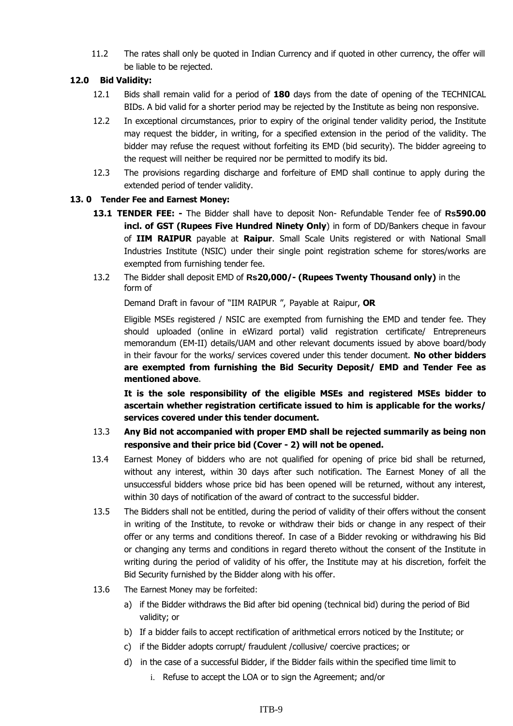11.2 The rates shall only be quoted in Indian Currency and if quoted in other currency, the offer will be liable to be rejected.

#### **12.0 Bid Validity:**

- 12.1 Bids shall remain valid for a period of **180** days from the date of opening of the TECHNICAL BIDs. A bid valid for a shorter period may be rejected by the Institute as being non responsive.
- 12.2 In exceptional circumstances, prior to expiry of the original tender validity period, the Institute may request the bidder, in writing, for a specified extension in the period of the validity. The bidder may refuse the request without forfeiting its EMD (bid security). The bidder agreeing to the request will neither be required nor be permitted to modify its bid.
- 12.3 The provisions regarding discharge and forfeiture of EMD shall continue to apply during the extended period of tender validity.

#### **13. 0 Tender Fee and Earnest Money:**

- **13.1 TENDER FEE: -** The Bidder shall have to deposit Non- Refundable Tender fee of **Rs590.00 incl. of GST (Rupees Five Hundred Ninety Only**) in form of DD/Bankers cheque in favour of **IIM RAIPUR** payable at **Raipur**. Small Scale Units registered or with National Small Industries Institute (NSIC) under their single point registration scheme for stores/works are exempted from furnishing tender fee.
- 13.2 The Bidder shall deposit EMD of **Rs20,000/- (Rupees Twenty Thousand only)** in the form of

Demand Draft in favour of "IIM RAIPUR ", Payable at Raipur, **OR**

Eligible MSEs registered / NSIC are exempted from furnishing the EMD and tender fee. They should uploaded (online in eWizard portal) valid registration certificate/ Entrepreneurs memorandum (EM-II) details/UAM and other relevant documents issued by above board/body in their favour for the works/ services covered under this tender document. **No other bidders are exempted from furnishing the Bid Security Deposit/ EMD and Tender Fee as mentioned above**.

**It is the sole responsibility of the eligible MSEs and registered MSEs bidder to ascertain whether registration certificate issued to him is applicable for the works/ services covered under this tender document.**

- 13.3 **Any Bid not accompanied with proper EMD shall be rejected summarily as being non responsive and their price bid (Cover - 2) will not be opened.**
- 13.4 Earnest Money of bidders who are not qualified for opening of price bid shall be returned, without any interest, within 30 days after such notification. The Earnest Money of all the unsuccessful bidders whose price bid has been opened will be returned, without any interest, within 30 days of notification of the award of contract to the successful bidder.
- 13.5 The Bidders shall not be entitled, during the period of validity of their offers without the consent in writing of the Institute, to revoke or withdraw their bids or change in any respect of their offer or any terms and conditions thereof. In case of a Bidder revoking or withdrawing his Bid or changing any terms and conditions in regard thereto without the consent of the Institute in writing during the period of validity of his offer, the Institute may at his discretion, forfeit the Bid Security furnished by the Bidder along with his offer.
- 13.6 The Earnest Money may be forfeited:
	- a) if the Bidder withdraws the Bid after bid opening (technical bid) during the period of Bid validity; or
	- b) If a bidder fails to accept rectification of arithmetical errors noticed by the Institute; or
	- c) if the Bidder adopts corrupt/ fraudulent /collusive/ coercive practices; or
	- d) in the case of a successful Bidder, if the Bidder fails within the specified time limit to
		- i. Refuse to accept the LOA or to sign the Agreement; and/or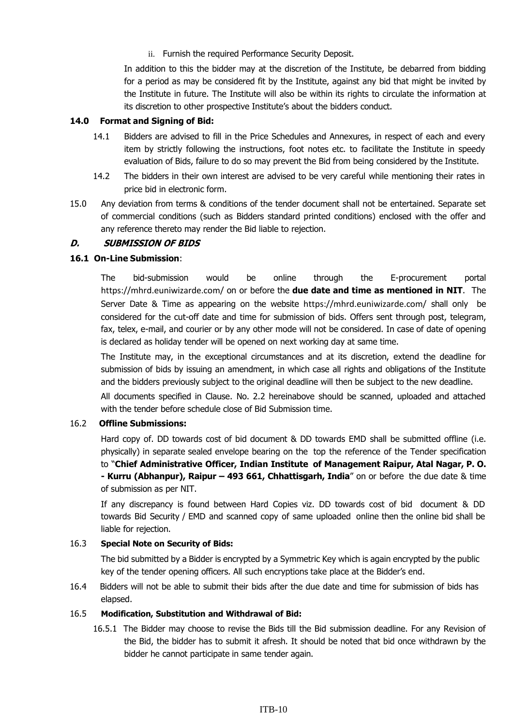ii. Furnish the required Performance Security Deposit.

In addition to this the bidder may at the discretion of the Institute, be debarred from bidding for a period as may be considered fit by the Institute, against any bid that might be invited by the Institute in future. The Institute will also be within its rights to circulate the information at its discretion to other prospective Institute's about the bidders conduct.

#### **14.0 Format and Signing of Bid:**

- 14.1 Bidders are advised to fill in the Price Schedules and Annexures, in respect of each and every item by strictly following the instructions, foot notes etc. to facilitate the Institute in speedy evaluation of Bids, failure to do so may prevent the Bid from being considered by the Institute.
- 14.2 The bidders in their own interest are advised to be very careful while mentioning their rates in price bid in electronic form.
- 15.0 Any deviation from terms & conditions of the tender document shall not be entertained. Separate set of commercial conditions (such as Bidders standard printed conditions) enclosed with the offer and any reference thereto may render the Bid liable to rejection.

#### **D. SUBMISSION OF BIDS**

#### **16.1 On-Line Submission**:

The bid-submission would be online through the E-procurement portal https://mhrd.euniwizarde.com/ on or before the **due date and time as mentioned in NIT**. The Server Date & Time as appearing on the website https://mhrd.euniwizarde.com/ shall only be considered for the cut-off date and time for submission of bids. Offers sent through post, telegram, fax, telex, e-mail, and courier or by any other mode will not be considered. In case of date of opening is declared as holiday tender will be opened on next working day at same time.

The Institute may, in the exceptional circumstances and at its discretion, extend the deadline for submission of bids by issuing an amendment, in which case all rights and obligations of the Institute and the bidders previously subject to the original deadline will then be subject to the new deadline.

All documents specified in Clause. No. 2.2 hereinabove should be scanned, uploaded and attached with the tender before schedule close of Bid Submission time.

#### 16.2 **Offline Submissions:**

Hard copy of. DD towards cost of bid document & DD towards EMD shall be submitted offline (i.e. physically) in separate sealed envelope bearing on the top the reference of the Tender specification to "**Chief Administrative Officer, Indian Institute of Management Raipur, Atal Nagar, P. O. - Kurru (Abhanpur), Raipur – 493 661, Chhattisgarh, India**" on or before the due date & time of submission as per NIT.

If any discrepancy is found between Hard Copies viz. DD towards cost of bid document & DD towards Bid Security / EMD and scanned copy of same uploaded online then the online bid shall be liable for rejection.

#### 16.3 **Special Note on Security of Bids:**

The bid submitted by a Bidder is encrypted by a Symmetric Key which is again encrypted by the public key of the tender opening officers. All such encryptions take place at the Bidder's end.

16.4 Bidders will not be able to submit their bids after the due date and time for submission of bids has elapsed.

#### 16.5 **Modification, Substitution and Withdrawal of Bid:**

16.5.1 The Bidder may choose to revise the Bids till the Bid submission deadline. For any Revision of the Bid, the bidder has to submit it afresh. It should be noted that bid once withdrawn by the bidder he cannot participate in same tender again.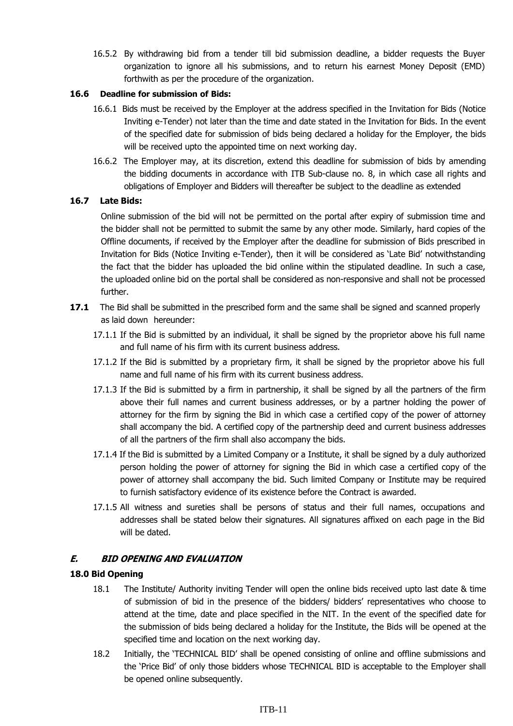16.5.2 By withdrawing bid from a tender till bid submission deadline, a bidder requests the Buyer organization to ignore all his submissions, and to return his earnest Money Deposit (EMD) forthwith as per the procedure of the organization.

#### **16.6 Deadline for submission of Bids:**

- 16.6.1 Bids must be received by the Employer at the address specified in the Invitation for Bids (Notice Inviting e-Tender) not later than the time and date stated in the Invitation for Bids. In the event of the specified date for submission of bids being declared a holiday for the Employer, the bids will be received upto the appointed time on next working day.
- 16.6.2 The Employer may, at its discretion, extend this deadline for submission of bids by amending the bidding documents in accordance with ITB Sub-clause no. 8, in which case all rights and obligations of Employer and Bidders will thereafter be subject to the deadline as extended

#### **16.7 Late Bids:**

Online submission of the bid will not be permitted on the portal after expiry of submission time and the bidder shall not be permitted to submit the same by any other mode. Similarly, hard copies of the Offline documents, if received by the Employer after the deadline for submission of Bids prescribed in Invitation for Bids (Notice Inviting e-Tender), then it will be considered as 'Late Bid' notwithstanding the fact that the bidder has uploaded the bid online within the stipulated deadline. In such a case, the uploaded online bid on the portal shall be considered as non-responsive and shall not be processed further.

- **17.1** The Bid shall be submitted in the prescribed form and the same shall be signed and scanned properly as laid down hereunder:
	- 17.1.1 If the Bid is submitted by an individual, it shall be signed by the proprietor above his full name and full name of his firm with its current business address.
	- 17.1.2 If the Bid is submitted by a proprietary firm, it shall be signed by the proprietor above his full name and full name of his firm with its current business address.
	- 17.1.3 If the Bid is submitted by a firm in partnership, it shall be signed by all the partners of the firm above their full names and current business addresses, or by a partner holding the power of attorney for the firm by signing the Bid in which case a certified copy of the power of attorney shall accompany the bid. A certified copy of the partnership deed and current business addresses of all the partners of the firm shall also accompany the bids.
	- 17.1.4 If the Bid is submitted by a Limited Company or a Institute, it shall be signed by a duly authorized person holding the power of attorney for signing the Bid in which case a certified copy of the power of attorney shall accompany the bid. Such limited Company or Institute may be required to furnish satisfactory evidence of its existence before the Contract is awarded.
	- 17.1.5 All witness and sureties shall be persons of status and their full names, occupations and addresses shall be stated below their signatures. All signatures affixed on each page in the Bid will be dated.

#### **E. BID OPENING AND EVALUATION**

#### **18.0 Bid Opening**

- 18.1 The Institute/ Authority inviting Tender will open the online bids received upto last date & time of submission of bid in the presence of the bidders/ bidders' representatives who choose to attend at the time, date and place specified in the NIT. In the event of the specified date for the submission of bids being declared a holiday for the Institute, the Bids will be opened at the specified time and location on the next working day.
- 18.2 Initially, the 'TECHNICAL BID' shall be opened consisting of online and offline submissions and the 'Price Bid' of only those bidders whose TECHNICAL BID is acceptable to the Employer shall be opened online subsequently.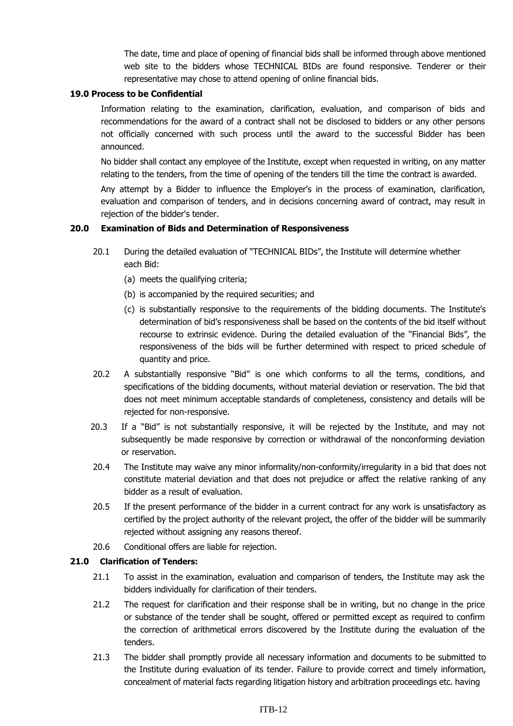The date, time and place of opening of financial bids shall be informed through above mentioned web site to the bidders whose TECHNICAL BIDs are found responsive. Tenderer or their representative may chose to attend opening of online financial bids.

#### **19.0 Process to be Confidential**

Information relating to the examination, clarification, evaluation, and comparison of bids and recommendations for the award of a contract shall not be disclosed to bidders or any other persons not officially concerned with such process until the award to the successful Bidder has been announced.

No bidder shall contact any employee of the Institute, except when requested in writing, on any matter relating to the tenders, from the time of opening of the tenders till the time the contract is awarded.

Any attempt by a Bidder to influence the Employer's in the process of examination, clarification, evaluation and comparison of tenders, and in decisions concerning award of contract, may result in rejection of the bidder's tender.

#### **20.0 Examination of Bids and Determination of Responsiveness**

- 20.1 During the detailed evaluation of "TECHNICAL BIDs", the Institute will determine whether each Bid:
	- (a) meets the qualifying criteria;
	- (b) is accompanied by the required securities; and
	- (c) is substantially responsive to the requirements of the bidding documents. The Institute's determination of bid's responsiveness shall be based on the contents of the bid itself without recourse to extrinsic evidence. During the detailed evaluation of the "Financial Bids", the responsiveness of the bids will be further determined with respect to priced schedule of quantity and price.
- 20.2 A substantially responsive "Bid" is one which conforms to all the terms, conditions, and specifications of the bidding documents, without material deviation or reservation. The bid that does not meet minimum acceptable standards of completeness, consistency and details will be rejected for non-responsive.
- 20.3 If a "Bid" is not substantially responsive, it will be rejected by the Institute, and may not subsequently be made responsive by correction or withdrawal of the nonconforming deviation or reservation.
- 20.4 The Institute may waive any minor informality/non-conformity/irregularity in a bid that does not constitute material deviation and that does not prejudice or affect the relative ranking of any bidder as a result of evaluation.
- 20.5 If the present performance of the bidder in a current contract for any work is unsatisfactory as certified by the project authority of the relevant project, the offer of the bidder will be summarily rejected without assigning any reasons thereof.
- 20.6 Conditional offers are liable for rejection.

#### **21.0 Clarification of Tenders:**

- 21.1 To assist in the examination, evaluation and comparison of tenders, the Institute may ask the bidders individually for clarification of their tenders.
- 21.2 The request for clarification and their response shall be in writing, but no change in the price or substance of the tender shall be sought, offered or permitted except as required to confirm the correction of arithmetical errors discovered by the Institute during the evaluation of the tenders.
- 21.3 The bidder shall promptly provide all necessary information and documents to be submitted to the Institute during evaluation of its tender. Failure to provide correct and timely information, concealment of material facts regarding litigation history and arbitration proceedings etc. having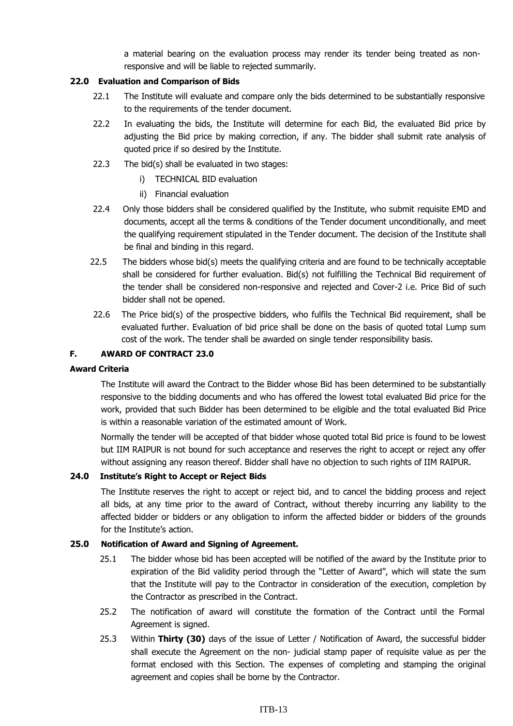a material bearing on the evaluation process may render its tender being treated as nonresponsive and will be liable to rejected summarily.

#### **22.0 Evaluation and Comparison of Bids**

- 22.1 The Institute will evaluate and compare only the bids determined to be substantially responsive to the requirements of the tender document.
- 22.2 In evaluating the bids, the Institute will determine for each Bid, the evaluated Bid price by adjusting the Bid price by making correction, if any. The bidder shall submit rate analysis of quoted price if so desired by the Institute.
- 22.3 The bid(s) shall be evaluated in two stages:
	- i) TECHNICAL BID evaluation
	- ii) Financial evaluation
- 22.4 Only those bidders shall be considered qualified by the Institute, who submit requisite EMD and documents, accept all the terms & conditions of the Tender document unconditionally, and meet the qualifying requirement stipulated in the Tender document. The decision of the Institute shall be final and binding in this regard.
- 22.5 The bidders whose bid(s) meets the qualifying criteria and are found to be technically acceptable shall be considered for further evaluation. Bid(s) not fulfilling the Technical Bid requirement of the tender shall be considered non-responsive and rejected and Cover-2 i.e. Price Bid of such bidder shall not be opened.
- 22.6 The Price bid(s) of the prospective bidders, who fulfils the Technical Bid requirement, shall be evaluated further. Evaluation of bid price shall be done on the basis of quoted total Lump sum cost of the work. The tender shall be awarded on single tender responsibility basis.

#### **F. AWARD OF CONTRACT 23.0**

#### **Award Criteria**

The Institute will award the Contract to the Bidder whose Bid has been determined to be substantially responsive to the bidding documents and who has offered the lowest total evaluated Bid price for the work, provided that such Bidder has been determined to be eligible and the total evaluated Bid Price is within a reasonable variation of the estimated amount of Work.

Normally the tender will be accepted of that bidder whose quoted total Bid price is found to be lowest but IIM RAIPUR is not bound for such acceptance and reserves the right to accept or reject any offer without assigning any reason thereof. Bidder shall have no objection to such rights of IIM RAIPUR.

#### **24.0 Institute's Right to Accept or Reject Bids**

The Institute reserves the right to accept or reject bid, and to cancel the bidding process and reject all bids, at any time prior to the award of Contract, without thereby incurring any liability to the affected bidder or bidders or any obligation to inform the affected bidder or bidders of the grounds for the Institute's action.

#### **25.0 Notification of Award and Signing of Agreement.**

- 25.1 The bidder whose bid has been accepted will be notified of the award by the Institute prior to expiration of the Bid validity period through the "Letter of Award", which will state the sum that the Institute will pay to the Contractor in consideration of the execution, completion by the Contractor as prescribed in the Contract.
- 25.2 The notification of award will constitute the formation of the Contract until the Formal Agreement is signed.
- 25.3 Within **Thirty (30)** days of the issue of Letter / Notification of Award, the successful bidder shall execute the Agreement on the non- judicial stamp paper of requisite value as per the format enclosed with this Section. The expenses of completing and stamping the original agreement and copies shall be borne by the Contractor.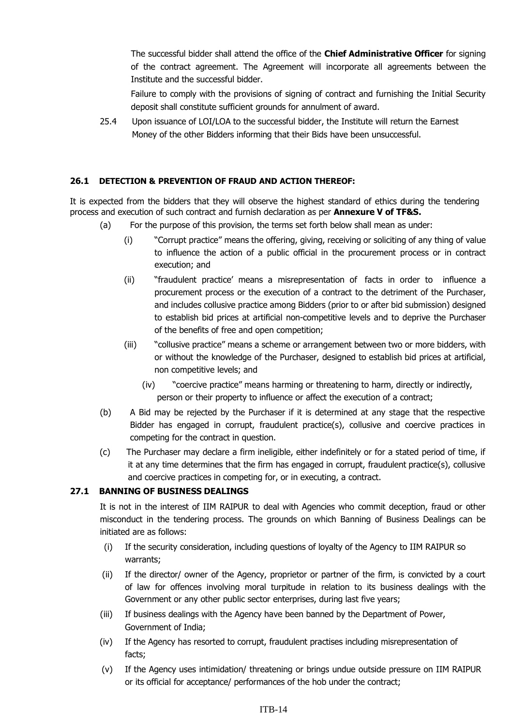The successful bidder shall attend the office of the **Chief Administrative Officer** for signing of the contract agreement. The Agreement will incorporate all agreements between the Institute and the successful bidder.

Failure to comply with the provisions of signing of contract and furnishing the Initial Security deposit shall constitute sufficient grounds for annulment of award.

25.4 Upon issuance of LOI/LOA to the successful bidder, the Institute will return the Earnest Money of the other Bidders informing that their Bids have been unsuccessful.

#### **26.1 DETECTION & PREVENTION OF FRAUD AND ACTION THEREOF:**

It is expected from the bidders that they will observe the highest standard of ethics during the tendering process and execution of such contract and furnish declaration as per **Annexure V of TF&S.**

- (a) For the purpose of this provision, the terms set forth below shall mean as under:
	- (i) "Corrupt practice" means the offering, giving, receiving or soliciting of any thing of value to influence the action of a public official in the procurement process or in contract execution; and
	- (ii) "fraudulent practice' means a misrepresentation of facts in order to influence a procurement process or the execution of a contract to the detriment of the Purchaser, and includes collusive practice among Bidders (prior to or after bid submission) designed to establish bid prices at artificial non-competitive levels and to deprive the Purchaser of the benefits of free and open competition;
	- (iii) "collusive practice" means a scheme or arrangement between two or more bidders, with or without the knowledge of the Purchaser, designed to establish bid prices at artificial, non competitive levels; and
		- (iv) "coercive practice" means harming or threatening to harm, directly or indirectly, person or their property to influence or affect the execution of a contract;
- (b) A Bid may be rejected by the Purchaser if it is determined at any stage that the respective Bidder has engaged in corrupt, fraudulent practice(s), collusive and coercive practices in competing for the contract in question.
- (c) The Purchaser may declare a firm ineligible, either indefinitely or for a stated period of time, if it at any time determines that the firm has engaged in corrupt, fraudulent practice(s), collusive and coercive practices in competing for, or in executing, a contract.

#### **27.1 BANNING OF BUSINESS DEALINGS**

It is not in the interest of IIM RAIPUR to deal with Agencies who commit deception, fraud or other misconduct in the tendering process. The grounds on which Banning of Business Dealings can be initiated are as follows:

- (i) If the security consideration, including questions of loyalty of the Agency to IIM RAIPUR so warrants;
- (ii) If the director/ owner of the Agency, proprietor or partner of the firm, is convicted by a court of law for offences involving moral turpitude in relation to its business dealings with the Government or any other public sector enterprises, during last five years;
- (iii) If business dealings with the Agency have been banned by the Department of Power, Government of India;
- (iv) If the Agency has resorted to corrupt, fraudulent practises including misrepresentation of facts;
- (v) If the Agency uses intimidation/ threatening or brings undue outside pressure on IIM RAIPUR or its official for acceptance/ performances of the hob under the contract;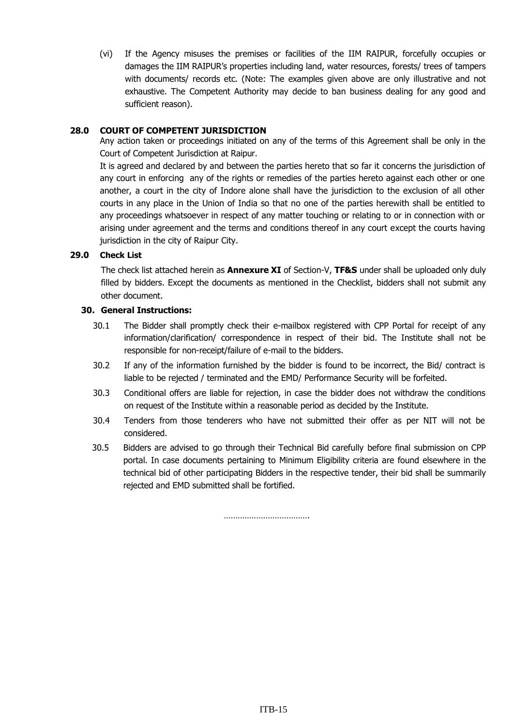(vi) If the Agency misuses the premises or facilities of the IIM RAIPUR, forcefully occupies or damages the IIM RAIPUR's properties including land, water resources, forests/ trees of tampers with documents/ records etc. (Note: The examples given above are only illustrative and not exhaustive. The Competent Authority may decide to ban business dealing for any good and sufficient reason).

#### **28.0 COURT OF COMPETENT JURISDICTION**

Any action taken or proceedings initiated on any of the terms of this Agreement shall be only in the Court of Competent Jurisdiction at Raipur.

It is agreed and declared by and between the parties hereto that so far it concerns the jurisdiction of any court in enforcing any of the rights or remedies of the parties hereto against each other or one another, a court in the city of Indore alone shall have the jurisdiction to the exclusion of all other courts in any place in the Union of India so that no one of the parties herewith shall be entitled to any proceedings whatsoever in respect of any matter touching or relating to or in connection with or arising under agreement and the terms and conditions thereof in any court except the courts having jurisdiction in the city of Raipur City.

#### **29.0 Check List**

The check list attached herein as **Annexure XI** of Section-V, **TF&S** under shall be uploaded only duly filled by bidders. Except the documents as mentioned in the Checklist, bidders shall not submit any other document.

#### **30. General Instructions:**

- 30.1 The Bidder shall promptly check their e-mailbox registered with CPP Portal for receipt of any information/clarification/ correspondence in respect of their bid. The Institute shall not be responsible for non-receipt/failure of e-mail to the bidders.
- 30.2 If any of the information furnished by the bidder is found to be incorrect, the Bid/ contract is liable to be rejected / terminated and the EMD/ Performance Security will be forfeited.
- 30.3 Conditional offers are liable for rejection, in case the bidder does not withdraw the conditions on request of the Institute within a reasonable period as decided by the Institute.
- 30.4 Tenders from those tenderers who have not submitted their offer as per NIT will not be considered.
- 30.5 Bidders are advised to go through their Technical Bid carefully before final submission on CPP portal. In case documents pertaining to Minimum Eligibility criteria are found elsewhere in the technical bid of other participating Bidders in the respective tender, their bid shall be summarily rejected and EMD submitted shall be fortified.

……………………………………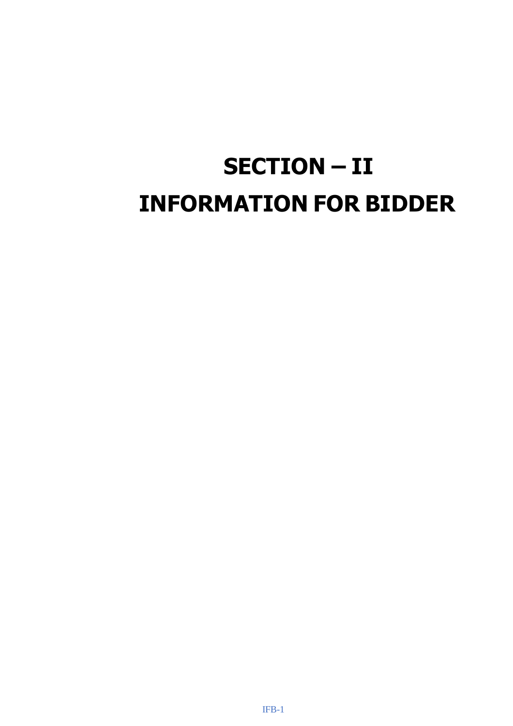# **SECTION – II INFORMATION FOR BIDDER**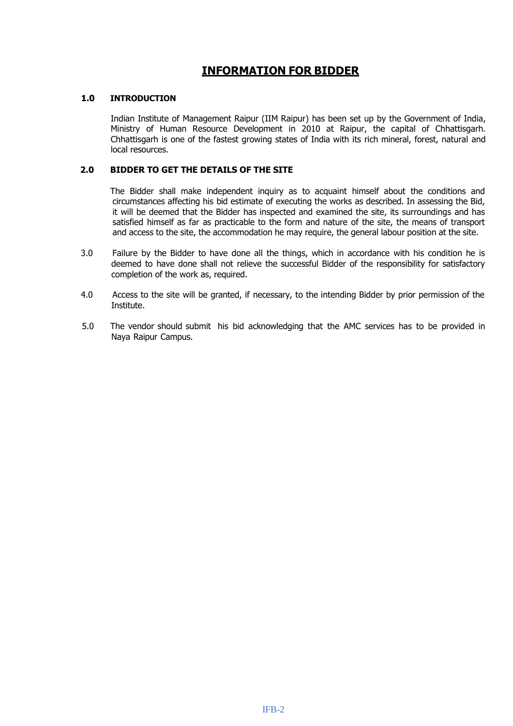### **INFORMATION FOR BIDDER**

#### **1.0 INTRODUCTION**

Indian Institute of Management Raipur (IIM Raipur) has been set up by the Government of India, Ministry of Human Resource Development in 2010 at Raipur, the capital of Chhattisgarh. Chhattisgarh is one of the fastest growing states of India with its rich mineral, forest, natural and local resources.

#### **2.0 BIDDER TO GET THE DETAILS OF THE SITE**

The Bidder shall make independent inquiry as to acquaint himself about the conditions and circumstances affecting his bid estimate of executing the works as described. In assessing the Bid, it will be deemed that the Bidder has inspected and examined the site, its surroundings and has satisfied himself as far as practicable to the form and nature of the site, the means of transport and access to the site, the accommodation he may require, the general labour position at the site.

- 3.0 Failure by the Bidder to have done all the things, which in accordance with his condition he is deemed to have done shall not relieve the successful Bidder of the responsibility for satisfactory completion of the work as, required.
- 4.0 Access to the site will be granted, if necessary, to the intending Bidder by prior permission of the Institute.
- 5.0 The vendor should submit his bid acknowledging that the AMC services has to be provided in Naya Raipur Campus.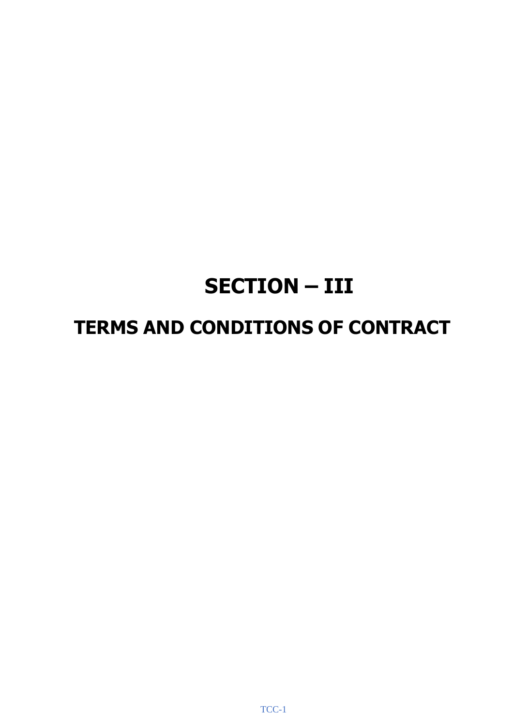# **SECTION – III**

## **TERMS AND CONDITIONS OF CONTRACT**

TCC-1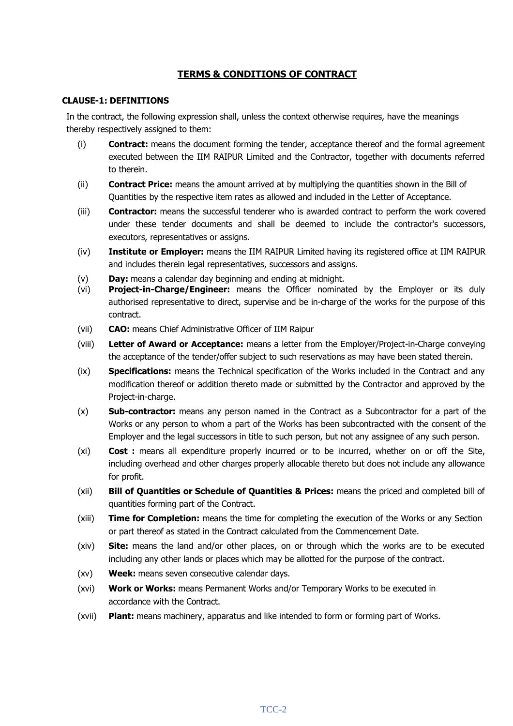#### **TERMS & CONDITIONS OF CONTRACT**

#### **CLAUSE-1: DEFINITIONS**

In the contract, the following expression shall, unless the context otherwise requires, have the meanings thereby respectively assigned to them:

- (i) **Contract:** means the document forming the tender, acceptance thereof and the formal agreement executed between the IIM RAIPUR Limited and the Contractor, together with documents referred to therein.
- (ii) **Contract Price:** means the amount arrived at by multiplying the quantities shown in the Bill of Quantities by the respective item rates as allowed and included in the Letter of Acceptance.
- (iii) **Contractor:** means the successful tenderer who is awarded contract to perform the work covered under these tender documents and shall be deemed to include the contractor's successors, executors, representatives or assigns.
- (iv) **Institute or Employer:** means the IIM RAIPUR Limited having its registered office at IIM RAIPUR and includes therein legal representatives, successors and assigns.
- (v) **Day:** means a calendar day beginning and ending at midnight.
- (vi) **Project-in-Charge/Engineer:** means the Officer nominated by the Employer or its duly authorised representative to direct, supervise and be in-charge of the works for the purpose of this contract.
- (vii) **CAO:** means Chief Administrative Officer of IIM Raipur
- (viii) **Letter of Award or Acceptance:** means a letter from the Employer/Project-in-Charge conveying the acceptance of the tender/offer subject to such reservations as may have been stated therein.
- (ix) **Specifications:** means the Technical specification of the Works included in the Contract and any modification thereof or addition thereto made or submitted by the Contractor and approved by the Project-in-charge.
- (x) **Sub-contractor:** means any person named in the Contract as a Subcontractor for a part of the Works or any person to whom a part of the Works has been subcontracted with the consent of the Employer and the legal successors in title to such person, but not any assignee of any such person.
- (xi) **Cost :** means all expenditure properly incurred or to be incurred, whether on or off the Site, including overhead and other charges properly allocable thereto but does not include any allowance for profit.
- (xii) **Bill of Quantities or Schedule of Quantities & Prices:** means the priced and completed bill of quantities forming part of the Contract.
- (xiii) **Time for Completion:** means the time for completing the execution of the Works or any Section or part thereof as stated in the Contract calculated from the Commencement Date.
- (xiv) **Site:** means the land and/or other places, on or through which the works are to be executed including any other lands or places which may be allotted for the purpose of the contract.
- (xv) **Week:** means seven consecutive calendar days.
- (xvi) **Work or Works:** means Permanent Works and/or Temporary Works to be executed in accordance with the Contract.
- (xvii) **Plant:** means machinery, apparatus and like intended to form or forming part of Works.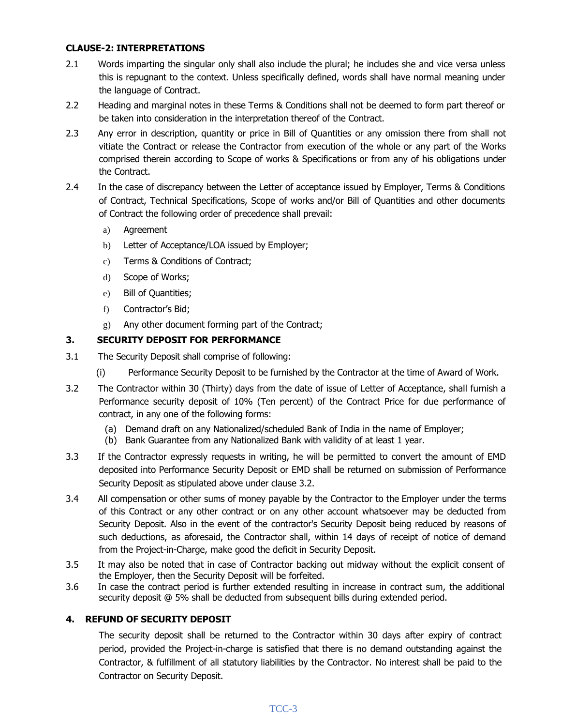#### **CLAUSE-2: INTERPRETATIONS**

- 2.1 Words imparting the singular only shall also include the plural; he includes she and vice versa unless this is repugnant to the context. Unless specifically defined, words shall have normal meaning under the language of Contract.
- 2.2 Heading and marginal notes in these Terms & Conditions shall not be deemed to form part thereof or be taken into consideration in the interpretation thereof of the Contract.
- 2.3 Any error in description, quantity or price in Bill of Quantities or any omission there from shall not vitiate the Contract or release the Contractor from execution of the whole or any part of the Works comprised therein according to Scope of works & Specifications or from any of his obligations under the Contract.
- 2.4 In the case of discrepancy between the Letter of acceptance issued by Employer, Terms & Conditions of Contract, Technical Specifications, Scope of works and/or Bill of Quantities and other documents of Contract the following order of precedence shall prevail:
	- a) Agreement
	- b) Letter of Acceptance/LOA issued by Employer;
	- c) Terms & Conditions of Contract;
	- d) Scope of Works;
	- e) Bill of Quantities;
	- f) Contractor's Bid;
	- g) Any other document forming part of the Contract;

#### **3. SECURITY DEPOSIT FOR PERFORMANCE**

- 3.1 The Security Deposit shall comprise of following:
	- (i) Performance Security Deposit to be furnished by the Contractor at the time of Award of Work.
- 3.2 The Contractor within 30 (Thirty) days from the date of issue of Letter of Acceptance, shall furnish a Performance security deposit of 10% (Ten percent) of the Contract Price for due performance of contract, in any one of the following forms:
	- (a) Demand draft on any Nationalized/scheduled Bank of India in the name of Employer;
	- (b) Bank Guarantee from any Nationalized Bank with validity of at least 1 year.
- 3.3 If the Contractor expressly requests in writing, he will be permitted to convert the amount of EMD deposited into Performance Security Deposit or EMD shall be returned on submission of Performance Security Deposit as stipulated above under clause 3.2.
- 3.4 All compensation or other sums of money payable by the Contractor to the Employer under the terms of this Contract or any other contract or on any other account whatsoever may be deducted from Security Deposit. Also in the event of the contractor's Security Deposit being reduced by reasons of such deductions, as aforesaid, the Contractor shall, within 14 days of receipt of notice of demand from the Project-in-Charge, make good the deficit in Security Deposit.
- 3.5 It may also be noted that in case of Contractor backing out midway without the explicit consent of the Employer, then the Security Deposit will be forfeited.
- 3.6 In case the contract period is further extended resulting in increase in contract sum, the additional security deposit @ 5% shall be deducted from subsequent bills during extended period.

#### **4. REFUND OF SECURITY DEPOSIT**

The security deposit shall be returned to the Contractor within 30 days after expiry of contract period, provided the Project-in-charge is satisfied that there is no demand outstanding against the Contractor, & fulfillment of all statutory liabilities by the Contractor. No interest shall be paid to the Contractor on Security Deposit.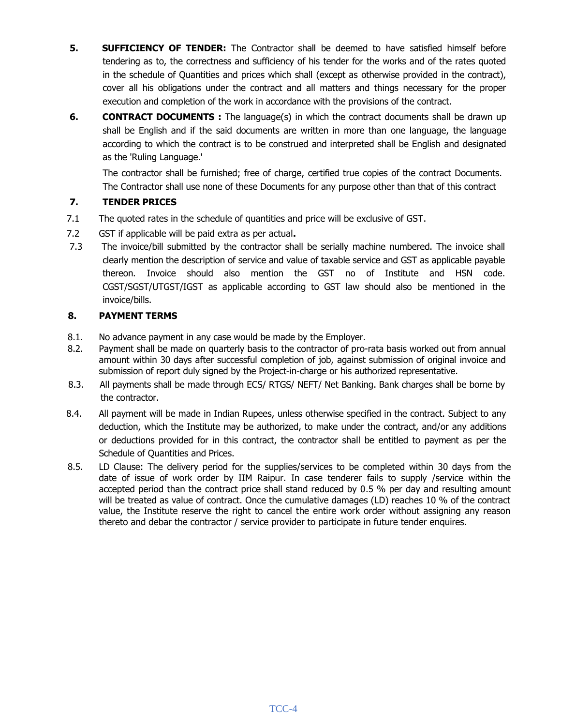- **5. SUFFICIENCY OF TENDER:** The Contractor shall be deemed to have satisfied himself before tendering as to, the correctness and sufficiency of his tender for the works and of the rates quoted in the schedule of Quantities and prices which shall (except as otherwise provided in the contract), cover all his obligations under the contract and all matters and things necessary for the proper execution and completion of the work in accordance with the provisions of the contract.
- **6. CONTRACT DOCUMENTS :** The language(s) in which the contract documents shall be drawn up shall be English and if the said documents are written in more than one language, the language according to which the contract is to be construed and interpreted shall be English and designated as the 'Ruling Language.'

The contractor shall be furnished; free of charge, certified true copies of the contract Documents. The Contractor shall use none of these Documents for any purpose other than that of this contract

#### **7. TENDER PRICES**

- 7.1 The quoted rates in the schedule of quantities and price will be exclusive of GST.
- 7.2 GST if applicable will be paid extra as per actual**.**
- 7.3 The invoice/bill submitted by the contractor shall be serially machine numbered. The invoice shall clearly mention the description of service and value of taxable service and GST as applicable payable thereon. Invoice should also mention the GST no of Institute and HSN code. CGST/SGST/UTGST/IGST as applicable according to GST law should also be mentioned in the invoice/bills.

#### **8. PAYMENT TERMS**

- 8.1. No advance payment in any case would be made by the Employer.
- 8.2. Payment shall be made on quarterly basis to the contractor of pro-rata basis worked out from annual amount within 30 days after successful completion of job, against submission of original invoice and submission of report duly signed by the Project-in-charge or his authorized representative.
- 8.3. All payments shall be made through ECS/ RTGS/ NEFT/ Net Banking. Bank charges shall be borne by the contractor.
- 8.4. All payment will be made in Indian Rupees, unless otherwise specified in the contract. Subject to any deduction, which the Institute may be authorized, to make under the contract, and/or any additions or deductions provided for in this contract, the contractor shall be entitled to payment as per the Schedule of Quantities and Prices.
- 8.5. LD Clause: The delivery period for the supplies/services to be completed within 30 days from the date of issue of work order by IIM Raipur. In case tenderer fails to supply /service within the accepted period than the contract price shall stand reduced by 0.5 % per day and resulting amount will be treated as value of contract. Once the cumulative damages (LD) reaches 10 % of the contract value, the Institute reserve the right to cancel the entire work order without assigning any reason thereto and debar the contractor / service provider to participate in future tender enquires.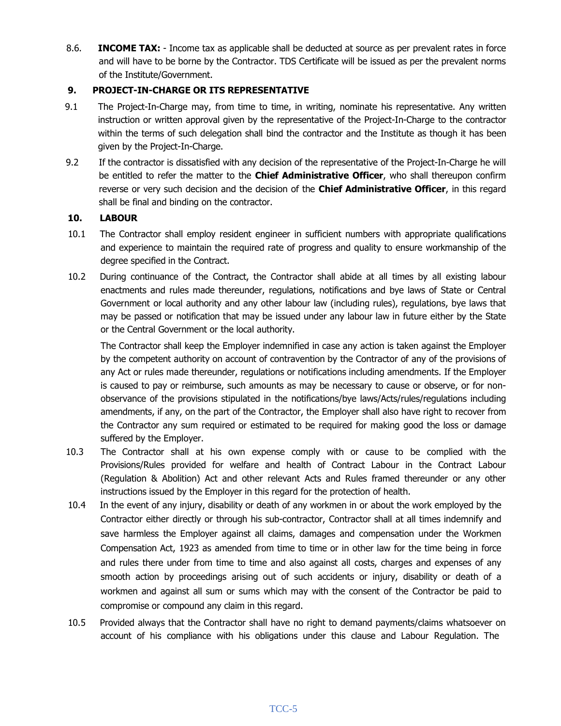8.6. **INCOME TAX:** - Income tax as applicable shall be deducted at source as per prevalent rates in force and will have to be borne by the Contractor. TDS Certificate will be issued as per the prevalent norms of the Institute/Government.

#### **9. PROJECT-IN-CHARGE OR ITS REPRESENTATIVE**

- 9.1 The Project-In-Charge may, from time to time, in writing, nominate his representative. Any written instruction or written approval given by the representative of the Project-In-Charge to the contractor within the terms of such delegation shall bind the contractor and the Institute as though it has been given by the Project-In-Charge.
- 9.2 If the contractor is dissatisfied with any decision of the representative of the Project-In-Charge he will be entitled to refer the matter to the **Chief Administrative Officer**, who shall thereupon confirm reverse or very such decision and the decision of the **Chief Administrative Officer**, in this regard shall be final and binding on the contractor.

#### **10. LABOUR**

- 10.1 The Contractor shall employ resident engineer in sufficient numbers with appropriate qualifications and experience to maintain the required rate of progress and quality to ensure workmanship of the degree specified in the Contract.
- 10.2 During continuance of the Contract, the Contractor shall abide at all times by all existing labour enactments and rules made thereunder, regulations, notifications and bye laws of State or Central Government or local authority and any other labour law (including rules), regulations, bye laws that may be passed or notification that may be issued under any labour law in future either by the State or the Central Government or the local authority.

The Contractor shall keep the Employer indemnified in case any action is taken against the Employer by the competent authority on account of contravention by the Contractor of any of the provisions of any Act or rules made thereunder, regulations or notifications including amendments. If the Employer is caused to pay or reimburse, such amounts as may be necessary to cause or observe, or for nonobservance of the provisions stipulated in the notifications/bye laws/Acts/rules/regulations including amendments, if any, on the part of the Contractor, the Employer shall also have right to recover from the Contractor any sum required or estimated to be required for making good the loss or damage suffered by the Employer.

- 10.3 The Contractor shall at his own expense comply with or cause to be complied with the Provisions/Rules provided for welfare and health of Contract Labour in the Contract Labour (Regulation & Abolition) Act and other relevant Acts and Rules framed thereunder or any other instructions issued by the Employer in this regard for the protection of health.
- 10.4 In the event of any injury, disability or death of any workmen in or about the work employed by the Contractor either directly or through his sub-contractor, Contractor shall at all times indemnify and save harmless the Employer against all claims, damages and compensation under the Workmen Compensation Act, 1923 as amended from time to time or in other law for the time being in force and rules there under from time to time and also against all costs, charges and expenses of any smooth action by proceedings arising out of such accidents or injury, disability or death of a workmen and against all sum or sums which may with the consent of the Contractor be paid to compromise or compound any claim in this regard.
- 10.5 Provided always that the Contractor shall have no right to demand payments/claims whatsoever on account of his compliance with his obligations under this clause and Labour Regulation. The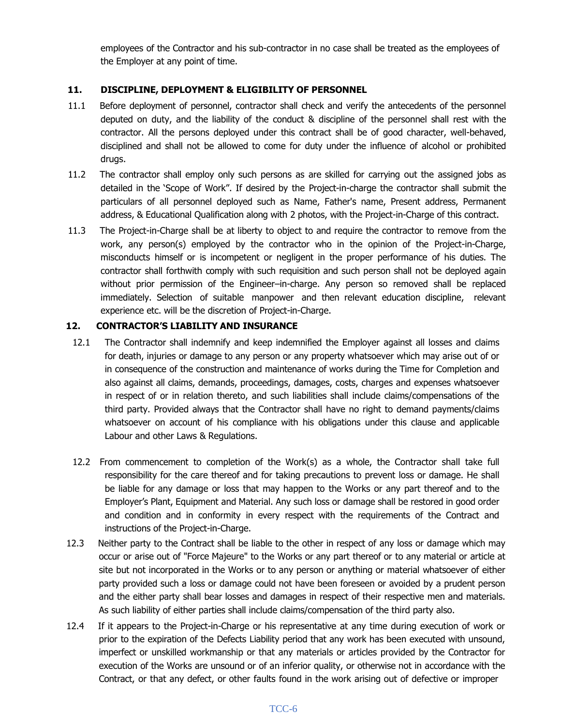employees of the Contractor and his sub-contractor in no case shall be treated as the employees of the Employer at any point of time.

#### **11. DISCIPLINE, DEPLOYMENT & ELIGIBILITY OF PERSONNEL**

- 11.1 Before deployment of personnel, contractor shall check and verify the antecedents of the personnel deputed on duty, and the liability of the conduct & discipline of the personnel shall rest with the contractor. All the persons deployed under this contract shall be of good character, well-behaved, disciplined and shall not be allowed to come for duty under the influence of alcohol or prohibited drugs.
- 11.2 The contractor shall employ only such persons as are skilled for carrying out the assigned jobs as detailed in the 'Scope of Work". If desired by the Project-in-charge the contractor shall submit the particulars of all personnel deployed such as Name, Father's name, Present address, Permanent address, & Educational Qualification along with 2 photos, with the Project-in-Charge of this contract.
- 11.3 The Project-in-Charge shall be at liberty to object to and require the contractor to remove from the work, any person(s) employed by the contractor who in the opinion of the Project-in-Charge, misconducts himself or is incompetent or negligent in the proper performance of his duties. The contractor shall forthwith comply with such requisition and such person shall not be deployed again without prior permission of the Engineer–in-charge. Any person so removed shall be replaced immediately. Selection of suitable manpower and then relevant education discipline, relevant experience etc. will be the discretion of Project-in-Charge.

#### **12. CONTRACTOR'S LIABILITY AND INSURANCE**

- 12.1 The Contractor shall indemnify and keep indemnified the Employer against all losses and claims for death, injuries or damage to any person or any property whatsoever which may arise out of or in consequence of the construction and maintenance of works during the Time for Completion and also against all claims, demands, proceedings, damages, costs, charges and expenses whatsoever in respect of or in relation thereto, and such liabilities shall include claims/compensations of the third party. Provided always that the Contractor shall have no right to demand payments/claims whatsoever on account of his compliance with his obligations under this clause and applicable Labour and other Laws & Regulations.
- 12.2 From commencement to completion of the Work(s) as a whole, the Contractor shall take full responsibility for the care thereof and for taking precautions to prevent loss or damage. He shall be liable for any damage or loss that may happen to the Works or any part thereof and to the Employer's Plant, Equipment and Material. Any such loss or damage shall be restored in good order and condition and in conformity in every respect with the requirements of the Contract and instructions of the Project-in-Charge.
- 12.3 Neither party to the Contract shall be liable to the other in respect of any loss or damage which may occur or arise out of "Force Majeure" to the Works or any part thereof or to any material or article at site but not incorporated in the Works or to any person or anything or material whatsoever of either party provided such a loss or damage could not have been foreseen or avoided by a prudent person and the either party shall bear losses and damages in respect of their respective men and materials. As such liability of either parties shall include claims/compensation of the third party also.
- 12.4 If it appears to the Project-in-Charge or his representative at any time during execution of work or prior to the expiration of the Defects Liability period that any work has been executed with unsound, imperfect or unskilled workmanship or that any materials or articles provided by the Contractor for execution of the Works are unsound or of an inferior quality, or otherwise not in accordance with the Contract, or that any defect, or other faults found in the work arising out of defective or improper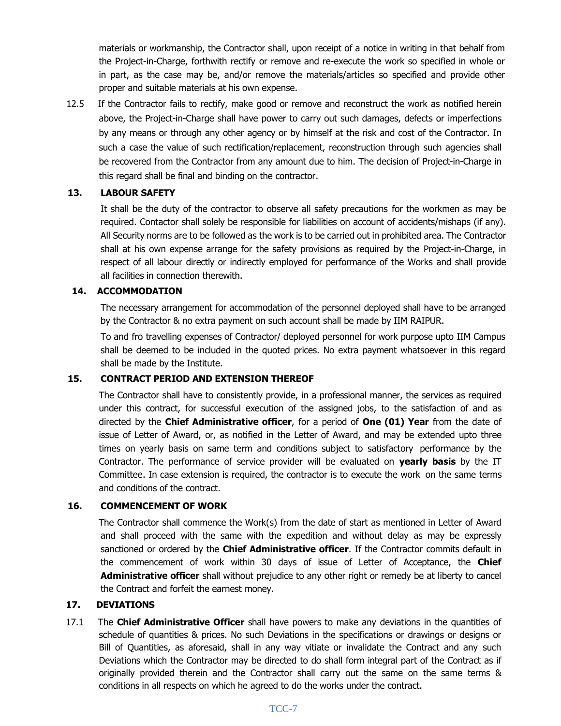materials or workmanship, the Contractor shall, upon receipt of a notice in writing in that behalf from the Project-in-Charge, forthwith rectify or remove and re-execute the work so specified in whole or in part, as the case may be, and/or remove the materials/articles so specified and provide other proper and suitable materials at his own expense.

12.5 If the Contractor fails to rectify, make good or remove and reconstruct the work as notified herein above, the Project-in-Charge shall have power to carry out such damages, defects or imperfections by any means or through any other agency or by himself at the risk and cost of the Contractor. In such a case the value of such rectification/replacement, reconstruction through such agencies shall be recovered from the Contractor from any amount due to him. The decision of Project-in-Charge in this regard shall be final and binding on the contractor.

#### **13. LABOUR SAFETY**

It shall be the duty of the contractor to observe all safety precautions for the workmen as may be required. Contactor shall solely be responsible for liabilities on account of accidents/mishaps (if any). All Security norms are to be followed as the work is to be carried out in prohibited area. The Contractor shall at his own expense arrange for the safety provisions as required by the Project-in-Charge, in respect of all labour directly or indirectly employed for performance of the Works and shall provide all facilities in connection therewith.

#### **14. ACCOMMODATION**

The necessary arrangement for accommodation of the personnel deployed shall have to be arranged by the Contractor & no extra payment on such account shall be made by IIM RAIPUR.

To and fro travelling expenses of Contractor/ deployed personnel for work purpose upto IIM Campus shall be deemed to be included in the quoted prices. No extra payment whatsoever in this regard shall be made by the Institute.

#### **15. CONTRACT PERIOD AND EXTENSION THEREOF**

The Contractor shall have to consistently provide, in a professional manner, the services as required under this contract, for successful execution of the assigned jobs, to the satisfaction of and as directed by the **Chief Administrative officer**, for a period of **One (01) Year** from the date of issue of Letter of Award, or, as notified in the Letter of Award, and may be extended upto three times on yearly basis on same term and conditions subject to satisfactory performance by the Contractor. The performance of service provider will be evaluated on **yearly basis** by the IT Committee. In case extension is required, the contractor is to execute the work on the same terms and conditions of the contract.

#### **16. COMMENCEMENT OF WORK**

The Contractor shall commence the Work(s) from the date of start as mentioned in Letter of Award and shall proceed with the same with the expedition and without delay as may be expressly sanctioned or ordered by the **Chief Administrative officer**. If the Contractor commits default in the commencement of work within 30 days of issue of Letter of Acceptance, the **Chief Administrative officer** shall without prejudice to any other right or remedy be at liberty to cancel the Contract and forfeit the earnest money.

#### **17. DEVIATIONS**

17.1 The **Chief Administrative Officer** shall have powers to make any deviations in the quantities of schedule of quantities & prices. No such Deviations in the specifications or drawings or designs or Bill of Quantities, as aforesaid, shall in any way vitiate or invalidate the Contract and any such Deviations which the Contractor may be directed to do shall form integral part of the Contract as if originally provided therein and the Contractor shall carry out the same on the same terms & conditions in all respects on which he agreed to do the works under the contract.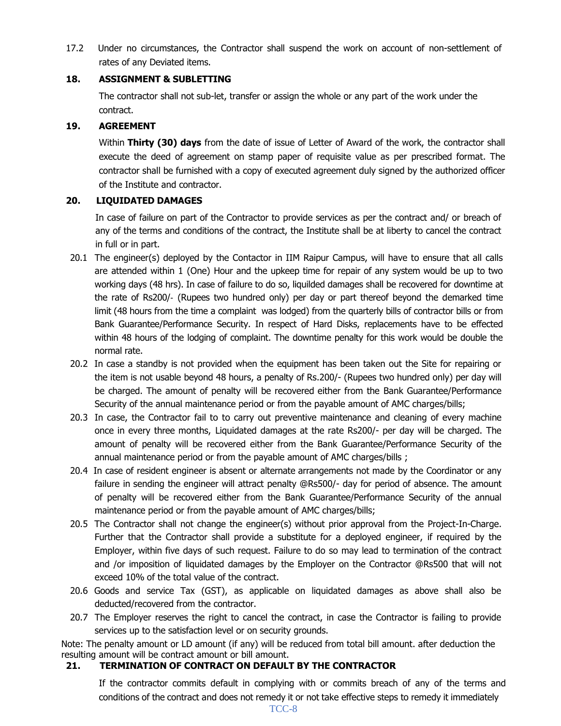17.2 Under no circumstances, the Contractor shall suspend the work on account of non-settlement of rates of any Deviated items.

#### **18. ASSIGNMENT & SUBLETTING**

The contractor shall not sub-let, transfer or assign the whole or any part of the work under the contract.

#### **19. AGREEMENT**

Within **Thirty (30) days** from the date of issue of Letter of Award of the work, the contractor shall execute the deed of agreement on stamp paper of requisite value as per prescribed format. The contractor shall be furnished with a copy of executed agreement duly signed by the authorized officer of the Institute and contractor.

#### **20. LIQUIDATED DAMAGES**

In case of failure on part of the Contractor to provide services as per the contract and/ or breach of any of the terms and conditions of the contract, the Institute shall be at liberty to cancel the contract in full or in part.

- 20.1 The engineer(s) deployed by the Contactor in IIM Raipur Campus, will have to ensure that all calls are attended within 1 (One) Hour and the upkeep time for repair of any system would be up to two working days (48 hrs). In case of failure to do so, liquilded damages shall be recovered for downtime at the rate of Rs200/‐ (Rupees two hundred only) per day or part thereof beyond the demarked time limit (48 hours from the time a complaint was lodged) from the quarterly bills of contractor bills or from Bank Guarantee/Performance Security. In respect of Hard Disks, replacements have to be effected within 48 hours of the lodging of complaint. The downtime penalty for this work would be double the normal rate.
- 20.2 In case a standby is not provided when the equipment has been taken out the Site for repairing or the item is not usable beyond 48 hours, a penalty of Rs.200/- (Rupees two hundred only) per day will be charged. The amount of penalty will be recovered either from the Bank Guarantee/Performance Security of the annual maintenance period or from the payable amount of AMC charges/bills;
- 20.3 In case, the Contractor fail to to carry out preventive maintenance and cleaning of every machine once in every three months, Liquidated damages at the rate Rs200/- per day will be charged. The amount of penalty will be recovered either from the Bank Guarantee/Performance Security of the annual maintenance period or from the payable amount of AMC charges/bills ;
- 20.4 In case of resident engineer is absent or alternate arrangements not made by the Coordinator or any failure in sending the engineer will attract penalty @Rs500/- day for period of absence. The amount of penalty will be recovered either from the Bank Guarantee/Performance Security of the annual maintenance period or from the payable amount of AMC charges/bills;
- 20.5 The Contractor shall not change the engineer(s) without prior approval from the Project-In-Charge. Further that the Contractor shall provide a substitute for a deployed engineer, if required by the Employer, within five days of such request. Failure to do so may lead to termination of the contract and /or imposition of liquidated damages by the Employer on the Contractor @Rs500 that will not exceed 10% of the total value of the contract.
- 20.6 Goods and service Tax (GST), as applicable on liquidated damages as above shall also be deducted/recovered from the contractor.
- 20.7 The Employer reserves the right to cancel the contract, in case the Contractor is failing to provide services up to the satisfaction level or on security grounds.

Note: The penalty amount or LD amount (if any) will be reduced from total bill amount. after deduction the resulting amount will be contract amount or bill amount.

#### **21. TERMINATION OF CONTRACT ON DEFAULT BY THE CONTRACTOR**

If the contractor commits default in complying with or commits breach of any of the terms and conditions of the contract and does not remedy it or not take effective steps to remedy it immediately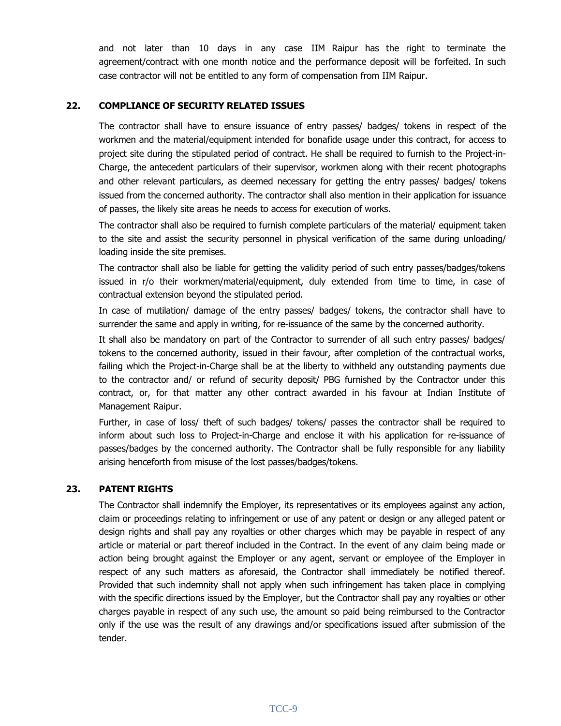and not later than 10 days in any case IIM Raipur has the right to terminate the agreement/contract with one month notice and the performance deposit will be forfeited. In such case contractor will not be entitled to any form of compensation from IIM Raipur.

#### **22. COMPLIANCE OF SECURITY RELATED ISSUES**

The contractor shall have to ensure issuance of entry passes/ badges/ tokens in respect of the workmen and the material/equipment intended for bonafide usage under this contract, for access to project site during the stipulated period of contract. He shall be required to furnish to the Project-in-Charge, the antecedent particulars of their supervisor, workmen along with their recent photographs and other relevant particulars, as deemed necessary for getting the entry passes/ badges/ tokens issued from the concerned authority. The contractor shall also mention in their application for issuance of passes, the likely site areas he needs to access for execution of works.

The contractor shall also be required to furnish complete particulars of the material/ equipment taken to the site and assist the security personnel in physical verification of the same during unloading/ loading inside the site premises.

The contractor shall also be liable for getting the validity period of such entry passes/badges/tokens issued in r/o their workmen/material/equipment, duly extended from time to time, in case of contractual extension beyond the stipulated period.

In case of mutilation/ damage of the entry passes/ badges/ tokens, the contractor shall have to surrender the same and apply in writing, for re-issuance of the same by the concerned authority.

It shall also be mandatory on part of the Contractor to surrender of all such entry passes/ badges/ tokens to the concerned authority, issued in their favour, after completion of the contractual works, failing which the Project-in-Charge shall be at the liberty to withheld any outstanding payments due to the contractor and/ or refund of security deposit/ PBG furnished by the Contractor under this contract, or, for that matter any other contract awarded in his favour at Indian Institute of Management Raipur.

Further, in case of loss/ theft of such badges/ tokens/ passes the contractor shall be required to inform about such loss to Project-in-Charge and enclose it with his application for re-issuance of passes/badges by the concerned authority. The Contractor shall be fully responsible for any liability arising henceforth from misuse of the lost passes/badges/tokens.

#### **23. PATENT RIGHTS**

The Contractor shall indemnify the Employer, its representatives or its employees against any action, claim or proceedings relating to infringement or use of any patent or design or any alleged patent or design rights and shall pay any royalties or other charges which may be payable in respect of any article or material or part thereof included in the Contract. In the event of any claim being made or action being brought against the Employer or any agent, servant or employee of the Employer in respect of any such matters as aforesaid, the Contractor shall immediately be notified thereof. Provided that such indemnity shall not apply when such infringement has taken place in complying with the specific directions issued by the Employer, but the Contractor shall pay any royalties or other charges payable in respect of any such use, the amount so paid being reimbursed to the Contractor only if the use was the result of any drawings and/or specifications issued after submission of the tender.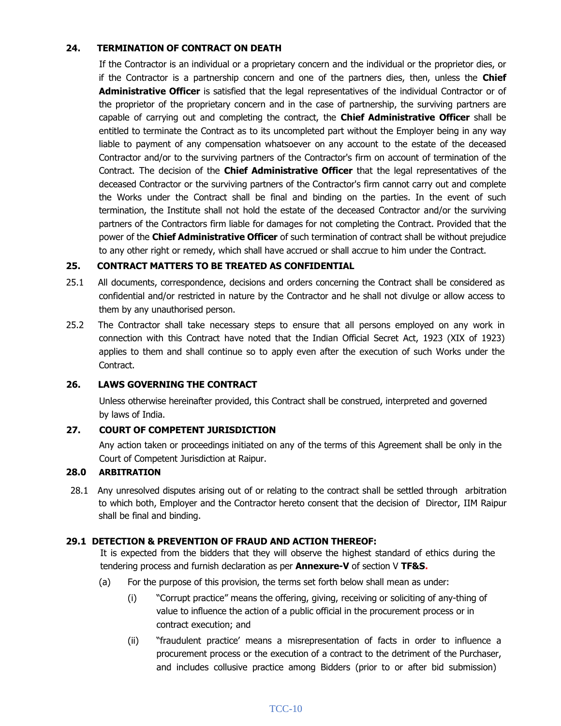#### **24. TERMINATION OF CONTRACT ON DEATH**

If the Contractor is an individual or a proprietary concern and the individual or the proprietor dies, or if the Contractor is a partnership concern and one of the partners dies, then, unless the **Chief Administrative Officer** is satisfied that the legal representatives of the individual Contractor or of the proprietor of the proprietary concern and in the case of partnership, the surviving partners are capable of carrying out and completing the contract, the **Chief Administrative Officer** shall be entitled to terminate the Contract as to its uncompleted part without the Employer being in any way liable to payment of any compensation whatsoever on any account to the estate of the deceased Contractor and/or to the surviving partners of the Contractor's firm on account of termination of the Contract. The decision of the **Chief Administrative Officer** that the legal representatives of the deceased Contractor or the surviving partners of the Contractor's firm cannot carry out and complete the Works under the Contract shall be final and binding on the parties. In the event of such termination, the Institute shall not hold the estate of the deceased Contractor and/or the surviving partners of the Contractors firm liable for damages for not completing the Contract. Provided that the power of the **Chief Administrative Officer** of such termination of contract shall be without prejudice to any other right or remedy, which shall have accrued or shall accrue to him under the Contract.

#### **25. CONTRACT MATTERS TO BE TREATED AS CONFIDENTIAL**

- 25.1 All documents, correspondence, decisions and orders concerning the Contract shall be considered as confidential and/or restricted in nature by the Contractor and he shall not divulge or allow access to them by any unauthorised person.
- 25.2 The Contractor shall take necessary steps to ensure that all persons employed on any work in connection with this Contract have noted that the Indian Official Secret Act, 1923 (XIX of 1923) applies to them and shall continue so to apply even after the execution of such Works under the Contract.

#### **26. LAWS GOVERNING THE CONTRACT**

Unless otherwise hereinafter provided, this Contract shall be construed, interpreted and governed by laws of India.

#### **27. COURT OF COMPETENT JURISDICTION**

Any action taken or proceedings initiated on any of the terms of this Agreement shall be only in the Court of Competent Jurisdiction at Raipur.

#### **28.0 ARBITRATION**

28.1 Any unresolved disputes arising out of or relating to the contract shall be settled through arbitration to which both, Employer and the Contractor hereto consent that the decision of Director, IIM Raipur shall be final and binding.

#### **29.1 DETECTION & PREVENTION OF FRAUD AND ACTION THEREOF:**

It is expected from the bidders that they will observe the highest standard of ethics during the tendering process and furnish declaration as per **Annexure-V** of section V **TF&S.**

- (a) For the purpose of this provision, the terms set forth below shall mean as under:
	- (i) "Corrupt practice" means the offering, giving, receiving or soliciting of any-thing of value to influence the action of a public official in the procurement process or in contract execution; and
	- (ii) "fraudulent practice' means a misrepresentation of facts in order to influence a procurement process or the execution of a contract to the detriment of the Purchaser, and includes collusive practice among Bidders (prior to or after bid submission)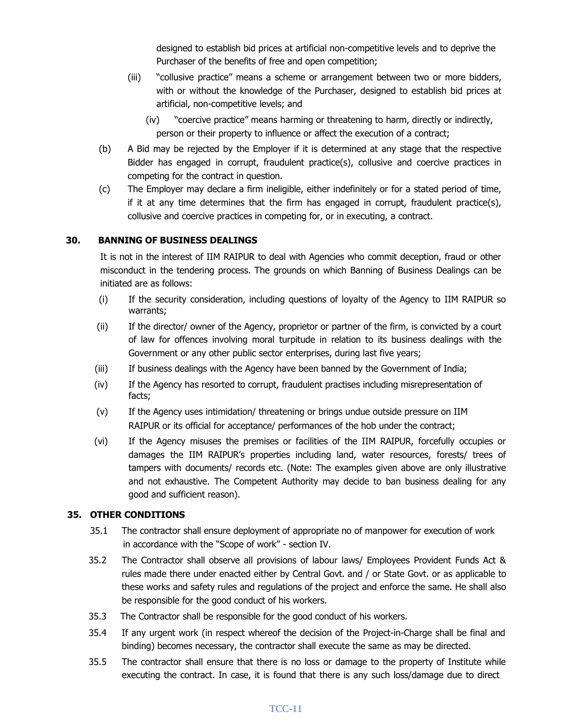designed to establish bid prices at artificial non-competitive levels and to deprive the Purchaser of the benefits of free and open competition;

- (iii) "collusive practice" means a scheme or arrangement between two or more bidders, with or without the knowledge of the Purchaser, designed to establish bid prices at artificial, non-competitive levels; and
	- (iv) "coercive practice" means harming or threatening to harm, directly or indirectly, person or their property to influence or affect the execution of a contract;
- (b) A Bid may be rejected by the Employer if it is determined at any stage that the respective Bidder has engaged in corrupt, fraudulent practice(s), collusive and coercive practices in competing for the contract in question.
- (c) The Employer may declare a firm ineligible, either indefinitely or for a stated period of time, if it at any time determines that the firm has engaged in corrupt, fraudulent practice(s), collusive and coercive practices in competing for, or in executing, a contract.

#### **30. BANNING OF BUSINESS DEALINGS**

It is not in the interest of IIM RAIPUR to deal with Agencies who commit deception, fraud or other misconduct in the tendering process. The grounds on which Banning of Business Dealings can be initiated are as follows:

- (i) If the security consideration, including questions of loyalty of the Agency to IIM RAIPUR so warrants;
- (ii) If the director/ owner of the Agency, proprietor or partner of the firm, is convicted by a court of law for offences involving moral turpitude in relation to its business dealings with the Government or any other public sector enterprises, during last five years;
- (iii) If business dealings with the Agency have been banned by the Government of India;
- (iv) If the Agency has resorted to corrupt, fraudulent practises including misrepresentation of facts;
- (v) If the Agency uses intimidation/ threatening or brings undue outside pressure on IIM RAIPUR or its official for acceptance/ performances of the hob under the contract;
- (vi) If the Agency misuses the premises or facilities of the IIM RAIPUR, forcefully occupies or damages the IIM RAIPUR's properties including land, water resources, forests/ trees of tampers with documents/ records etc. (Note: The examples given above are only illustrative and not exhaustive. The Competent Authority may decide to ban business dealing for any good and sufficient reason).

#### **35. OTHER CONDITIONS**

- 35.1 The contractor shall ensure deployment of appropriate no of manpower for execution of work in accordance with the "Scope of work" - section IV.
- 35.2 The Contractor shall observe all provisions of labour laws/ Employees Provident Funds Act & rules made there under enacted either by Central Govt. and / or State Govt. or as applicable to these works and safety rules and regulations of the project and enforce the same. He shall also be responsible for the good conduct of his workers.
- 35.3 The Contractor shall be responsible for the good conduct of his workers.
- 35.4 If any urgent work (in respect whereof the decision of the Project-in-Charge shall be final and binding) becomes necessary, the contractor shall execute the same as may be directed.
- 35.5 The contractor shall ensure that there is no loss or damage to the property of Institute while executing the contract. In case, it is found that there is any such loss/damage due to direct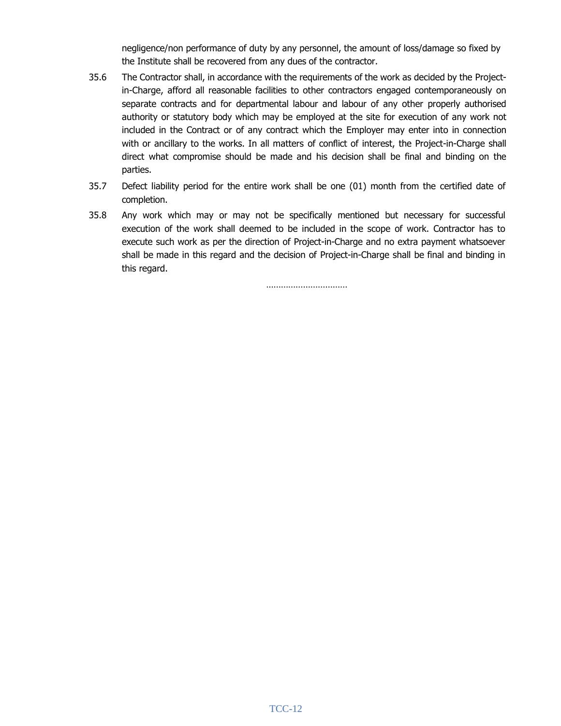negligence/non performance of duty by any personnel, the amount of loss/damage so fixed by the Institute shall be recovered from any dues of the contractor.

- 35.6 The Contractor shall, in accordance with the requirements of the work as decided by the Projectin-Charge, afford all reasonable facilities to other contractors engaged contemporaneously on separate contracts and for departmental labour and labour of any other properly authorised authority or statutory body which may be employed at the site for execution of any work not included in the Contract or of any contract which the Employer may enter into in connection with or ancillary to the works. In all matters of conflict of interest, the Project-in-Charge shall direct what compromise should be made and his decision shall be final and binding on the parties.
- 35.7 Defect liability period for the entire work shall be one (01) month from the certified date of completion.
- 35.8 Any work which may or may not be specifically mentioned but necessary for successful execution of the work shall deemed to be included in the scope of work. Contractor has to execute such work as per the direction of Project-in-Charge and no extra payment whatsoever shall be made in this regard and the decision of Project-in-Charge shall be final and binding in this regard.

……………………………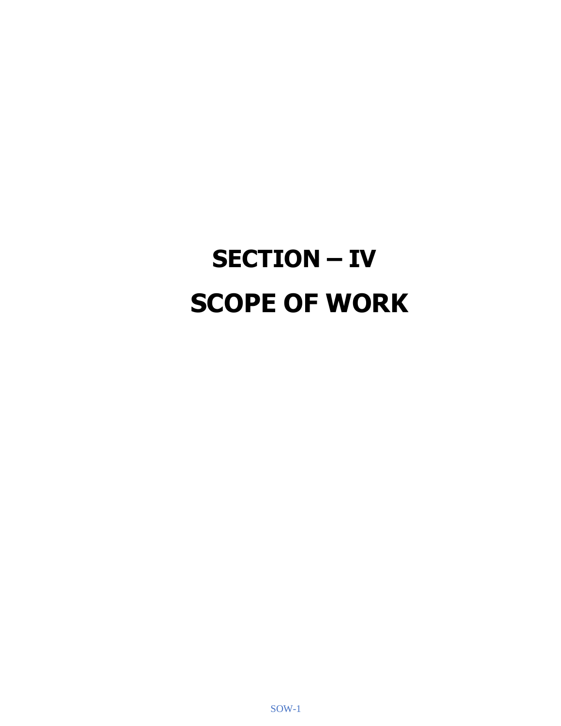# **SECTION – IV SCOPE OF WORK**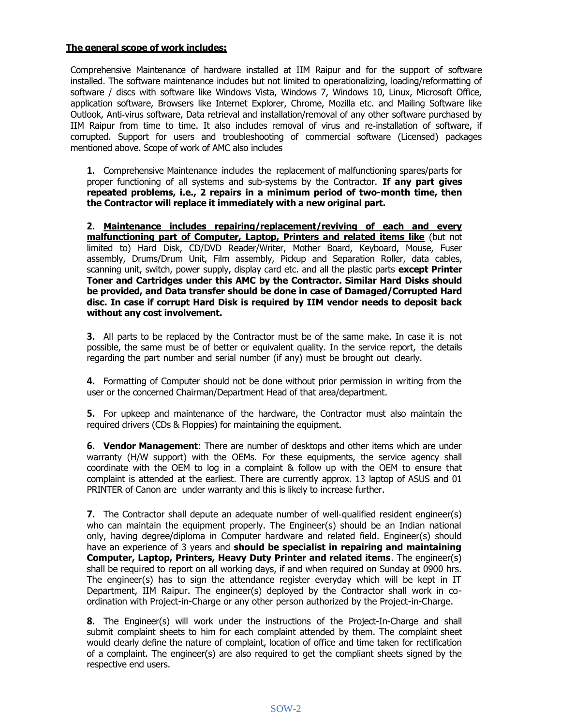#### **The general scope of work includes:**

Comprehensive Maintenance of hardware installed at IIM Raipur and for the support of software installed. The software maintenance includes but not limited to operationalizing, loading/reformatting of software / discs with software like Windows Vista, Windows 7, Windows 10, Linux, Microsoft Office, application software, Browsers like Internet Explorer, Chrome, Mozilla etc. and Mailing Software like Outlook, Anti‐virus software, Data retrieval and installation/removal of any other software purchased by IIM Raipur from time to time. It also includes removal of virus and re‐installation of software, if corrupted. Support for users and troubleshooting of commercial software (Licensed) packages mentioned above. Scope of work of AMC also includes

**1.** Comprehensive Maintenance includes the replacement of malfunctioning spares/parts for proper functioning of all systems and sub-systems by the Contractor. **If any part gives repeated problems, i.e., 2 repairs in a minimum period of two-month time, then the Contractor will replace it immediately with a new original part.**

**2. Maintenance includes repairing/replacement/reviving of each and every malfunctioning part of Computer, Laptop, Printers and related items like** (but not limited to) Hard Disk, CD/DVD Reader/Writer, Mother Board, Keyboard, Mouse, Fuser assembly, Drums/Drum Unit, Film assembly, Pickup and Separation Roller, data cables, scanning unit, switch, power supply, display card etc. and all the plastic parts **except Printer Toner and Cartridges under this AMC by the Contractor. Similar Hard Disks should be provided, and Data transfer should be done in case of Damaged/Corrupted Hard disc. In case if corrupt Hard Disk is required by IIM vendor needs to deposit back without any cost involvement.**

**3.** All parts to be replaced by the Contractor must be of the same make. In case it is not possible, the same must be of better or equivalent quality. In the service report, the details regarding the part number and serial number (if any) must be brought out clearly.

**4.** Formatting of Computer should not be done without prior permission in writing from the user or the concerned Chairman/Department Head of that area/department.

**5.** For upkeep and maintenance of the hardware, the Contractor must also maintain the required drivers (CDs & Floppies) for maintaining the equipment.

**6. Vendor Management**: There are number of desktops and other items which are under warranty (H/W support) with the OEMs. For these equipments, the service agency shall coordinate with the OEM to log in a complaint & follow up with the OEM to ensure that complaint is attended at the earliest. There are currently approx. 13 laptop of ASUS and 01 PRINTER of Canon are under warranty and this is likely to increase further.

**7.** The Contractor shall depute an adequate number of well-qualified resident engineer(s) who can maintain the equipment properly. The Engineer(s) should be an Indian national only, having degree/diploma in Computer hardware and related field. Engineer(s) should have an experience of 3 years and **should be specialist in repairing and maintaining Computer, Laptop, Printers, Heavy Duty Printer and related items**. The engineer(s) shall be required to report on all working days, if and when required on Sunday at 0900 hrs. The engineer(s) has to sign the attendance register everyday which will be kept in IT Department, IIM Raipur. The engineer(s) deployed by the Contractor shall work in coordination with Project-in-Charge or any other person authorized by the Project-in-Charge.

**8.** The Engineer(s) will work under the instructions of the Project-In-Charge and shall submit complaint sheets to him for each complaint attended by them. The complaint sheet would clearly define the nature of complaint, location of office and time taken for rectification of a complaint. The engineer(s) are also required to get the compliant sheets signed by the respective end users.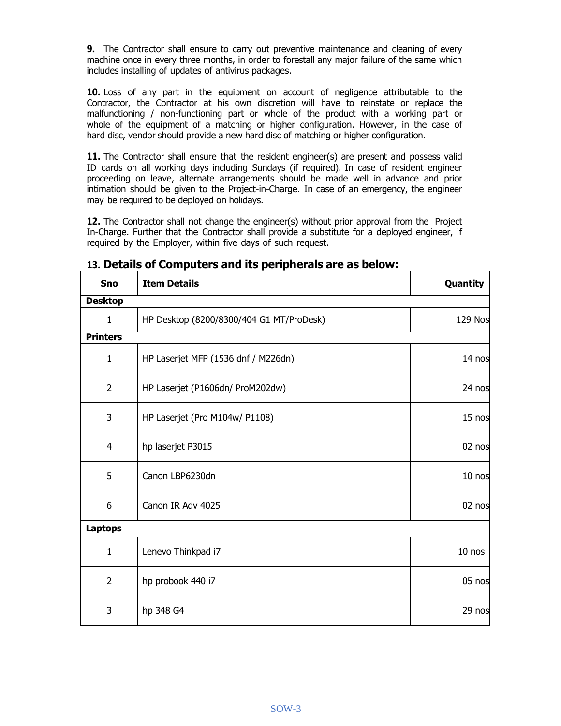**9.** The Contractor shall ensure to carry out preventive maintenance and cleaning of every machine once in every three months, in order to forestall any major failure of the same which includes installing of updates of antivirus packages.

**10.** Loss of any part in the equipment on account of negligence attributable to the Contractor, the Contractor at his own discretion will have to reinstate or replace the malfunctioning / non-functioning part or whole of the product with a working part or whole of the equipment of a matching or higher configuration. However, in the case of hard disc, vendor should provide a new hard disc of matching or higher configuration.

**11.** The Contractor shall ensure that the resident engineer(s) are present and possess valid ID cards on all working days including Sundays (if required). In case of resident engineer proceeding on leave, alternate arrangements should be made well in advance and prior intimation should be given to the Project-in-Charge. In case of an emergency, the engineer may be required to be deployed on holidays.

**12.** The Contractor shall not change the engineer(s) without prior approval from the Project In-Charge. Further that the Contractor shall provide a substitute for a deployed engineer, if required by the Employer, within five days of such request.

| <b>Sno</b>      | <b>Item Details</b>                      | Quantity       |  |  |
|-----------------|------------------------------------------|----------------|--|--|
| <b>Desktop</b>  |                                          |                |  |  |
| $\mathbf{1}$    | HP Desktop (8200/8300/404 G1 MT/ProDesk) | <b>129 Nos</b> |  |  |
| <b>Printers</b> |                                          |                |  |  |
| $\mathbf{1}$    | HP Laserjet MFP (1536 dnf / M226dn)      | 14 nos         |  |  |
| $\overline{2}$  | HP Laserjet (P1606dn/ ProM202dw)         | 24 nos         |  |  |
| 3               | HP Laserjet (Pro M104w/ P1108)           |                |  |  |
| $\overline{4}$  | hp laserjet P3015                        | 02 nos         |  |  |
| 5               | Canon LBP6230dn                          | 10 nos         |  |  |
| 6               | Canon IR Adv 4025                        | 02 nos         |  |  |
| <b>Laptops</b>  |                                          |                |  |  |
| $\mathbf{1}$    | Lenevo Thinkpad i7<br>$10$ nos           |                |  |  |
| $\overline{2}$  | hp probook 440 i7                        | 05 nos         |  |  |
| 3               | hp 348 G4                                | 29 nos         |  |  |

#### **13. Details of Computers and its peripherals are as below:**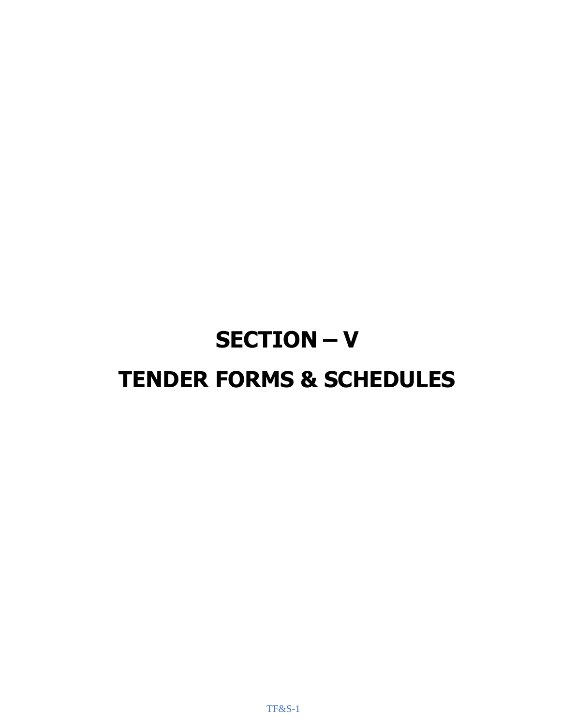# **SECTION – V TENDER FORMS & SCHEDULES**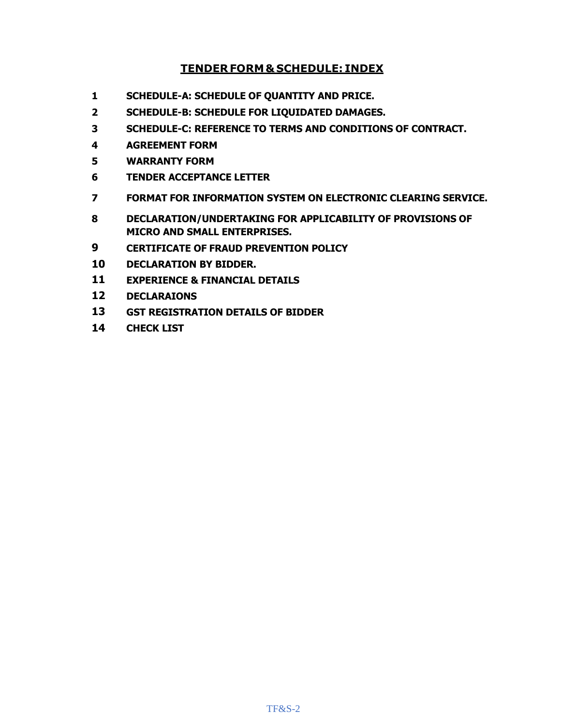#### **TENDER FORM& SCHEDULE: INDEX**

- **SCHEDULE-A: SCHEDULE OF QUANTITY AND PRICE.**
- **SCHEDULE-B: SCHEDULE FOR LIQUIDATED DAMAGES.**
- **SCHEDULE-C: REFERENCE TO TERMS AND CONDITIONS OF CONTRACT.**
- **AGREEMENT FORM**
- **WARRANTY FORM**
- **TENDER ACCEPTANCE LETTER**
- **FORMAT FOR INFORMATION SYSTEM ON ELECTRONIC CLEARING SERVICE.**
- **DECLARATION/UNDERTAKING FOR APPLICABILITY OF PROVISIONS OF MICRO AND SMALL ENTERPRISES.**
- **CERTIFICATE OF FRAUD PREVENTION POLICY**
- **DECLARATION BY BIDDER.**
- **EXPERIENCE & FINANCIAL DETAILS**
- **DECLARAIONS**
- **GST REGISTRATION DETAILS OF BIDDER**
- **CHECK LIST**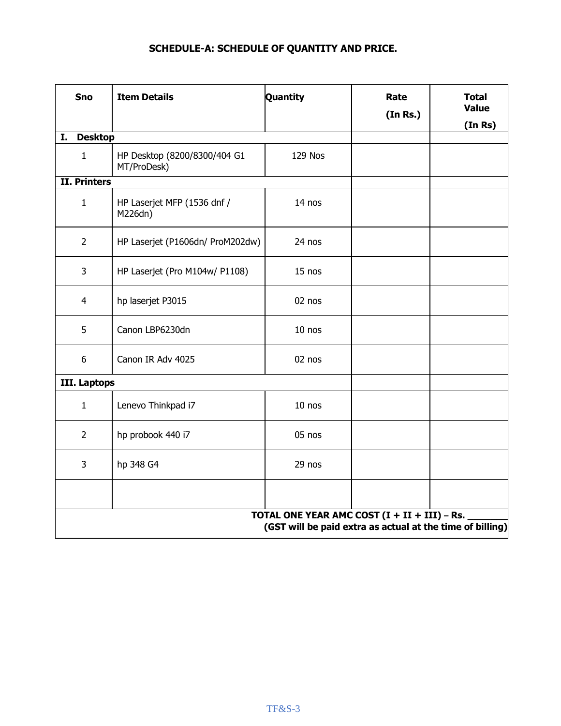### **SCHEDULE-A: SCHEDULE OF QUANTITY AND PRICE.**

| <b>Sno</b><br><b>Item Details</b> |                                             | Quantity                                                                                                    | Rate<br>(In Rs.) | <b>Total</b><br><b>Value</b><br>(In Rs) |
|-----------------------------------|---------------------------------------------|-------------------------------------------------------------------------------------------------------------|------------------|-----------------------------------------|
| <b>Desktop</b><br>I.              |                                             |                                                                                                             |                  |                                         |
| $\mathbf{1}$                      | HP Desktop (8200/8300/404 G1<br>MT/ProDesk) | 129 Nos                                                                                                     |                  |                                         |
| <b>II. Printers</b>               |                                             |                                                                                                             |                  |                                         |
| $\mathbf{1}$                      | HP Laserjet MFP (1536 dnf /<br>M226dn)      | 14 nos                                                                                                      |                  |                                         |
| $\overline{2}$                    | HP Laserjet (P1606dn/ ProM202dw)            | 24 nos                                                                                                      |                  |                                         |
| $\overline{3}$                    | HP Laserjet (Pro M104w/ P1108)              | 15 nos                                                                                                      |                  |                                         |
| 4                                 | hp laserjet P3015                           | 02 nos                                                                                                      |                  |                                         |
| 5                                 | Canon LBP6230dn                             | $10$ nos                                                                                                    |                  |                                         |
| 6<br>Canon IR Adv 4025            |                                             | 02 nos                                                                                                      |                  |                                         |
| III. Laptops                      |                                             |                                                                                                             |                  |                                         |
| $\mathbf{1}$                      | Lenevo Thinkpad i7                          | 10 nos                                                                                                      |                  |                                         |
| $\overline{2}$                    | hp probook 440 i7                           | 05 nos                                                                                                      |                  |                                         |
| 3                                 | hp 348 G4                                   | 29 nos                                                                                                      |                  |                                         |
|                                   |                                             |                                                                                                             |                  |                                         |
|                                   |                                             | TOTAL ONE YEAR AMC COST $(I + II + III) - Rs.$<br>(GST will be paid extra as actual at the time of billing) |                  |                                         |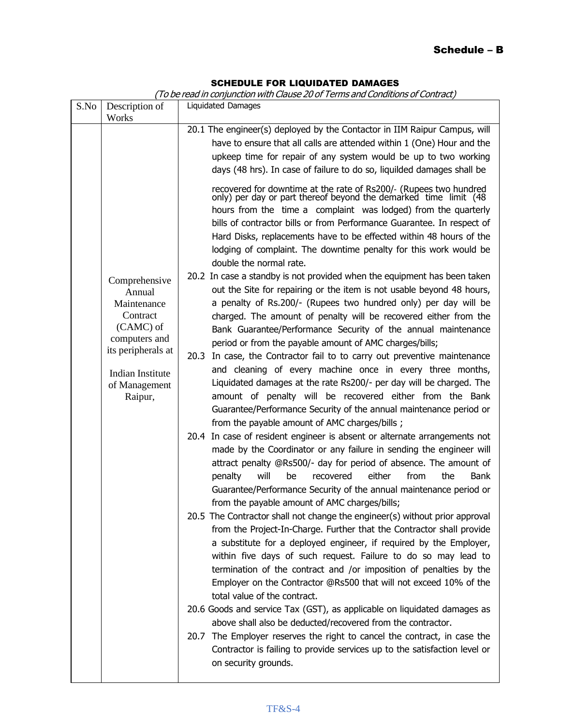#### SCHEDULE FOR LIQUIDATED DAMAGES

(To be read in conjunction with Clause 20 of Terms and Conditions of Contract)

| S.No |                                                                                                                                                        | Liquidated Damages                                                                                                                                                                                                                                                                                                                                                                                                                                                                                                                                                                                                                                                                                                                                                                                                                                                                                                                                                                                                                                                                                                                                                                                                                                                                                                                                                                                                                                                                                                                                                                                                                                                                                                                                                                                                                                                                                                                                                                                                                                                  |
|------|--------------------------------------------------------------------------------------------------------------------------------------------------------|---------------------------------------------------------------------------------------------------------------------------------------------------------------------------------------------------------------------------------------------------------------------------------------------------------------------------------------------------------------------------------------------------------------------------------------------------------------------------------------------------------------------------------------------------------------------------------------------------------------------------------------------------------------------------------------------------------------------------------------------------------------------------------------------------------------------------------------------------------------------------------------------------------------------------------------------------------------------------------------------------------------------------------------------------------------------------------------------------------------------------------------------------------------------------------------------------------------------------------------------------------------------------------------------------------------------------------------------------------------------------------------------------------------------------------------------------------------------------------------------------------------------------------------------------------------------------------------------------------------------------------------------------------------------------------------------------------------------------------------------------------------------------------------------------------------------------------------------------------------------------------------------------------------------------------------------------------------------------------------------------------------------------------------------------------------------|
|      | Works                                                                                                                                                  |                                                                                                                                                                                                                                                                                                                                                                                                                                                                                                                                                                                                                                                                                                                                                                                                                                                                                                                                                                                                                                                                                                                                                                                                                                                                                                                                                                                                                                                                                                                                                                                                                                                                                                                                                                                                                                                                                                                                                                                                                                                                     |
|      | Description of                                                                                                                                         | 20.1 The engineer(s) deployed by the Contactor in IIM Raipur Campus, will<br>have to ensure that all calls are attended within 1 (One) Hour and the<br>upkeep time for repair of any system would be up to two working<br>days (48 hrs). In case of failure to do so, liquilded damages shall be<br>recovered for downtime at the rate of Rs200/- (Rupees two hundred only) per day or part thereof beyond the demarked time limit (48<br>hours from the time a complaint was lodged) from the quarterly<br>bills of contractor bills or from Performance Guarantee. In respect of<br>Hard Disks, replacements have to be effected within 48 hours of the<br>lodging of complaint. The downtime penalty for this work would be<br>double the normal rate.                                                                                                                                                                                                                                                                                                                                                                                                                                                                                                                                                                                                                                                                                                                                                                                                                                                                                                                                                                                                                                                                                                                                                                                                                                                                                                           |
|      | Comprehensive<br>Annual<br>Maintenance<br>Contract<br>(CAMC) of<br>computers and<br>its peripherals at<br>Indian Institute<br>of Management<br>Raipur, | 20.2 In case a standby is not provided when the equipment has been taken<br>out the Site for repairing or the item is not usable beyond 48 hours,<br>a penalty of Rs.200/- (Rupees two hundred only) per day will be<br>charged. The amount of penalty will be recovered either from the<br>Bank Guarantee/Performance Security of the annual maintenance<br>period or from the payable amount of AMC charges/bills;<br>In case, the Contractor fail to to carry out preventive maintenance<br>20.3<br>and cleaning of every machine once in every three months,<br>Liquidated damages at the rate Rs200/- per day will be charged. The<br>amount of penalty will be recovered either from the Bank<br>Guarantee/Performance Security of the annual maintenance period or<br>from the payable amount of AMC charges/bills ;<br>In case of resident engineer is absent or alternate arrangements not<br>20.4<br>made by the Coordinator or any failure in sending the engineer will<br>attract penalty @Rs500/- day for period of absence. The amount of<br>will<br>either<br>from<br>the<br>penalty<br>be<br>recovered<br><b>Bank</b><br>Guarantee/Performance Security of the annual maintenance period or<br>from the payable amount of AMC charges/bills;<br>20.5 The Contractor shall not change the engineer(s) without prior approval<br>from the Project-In-Charge. Further that the Contractor shall provide<br>a substitute for a deployed engineer, if required by the Employer,<br>within five days of such request. Failure to do so may lead to<br>termination of the contract and /or imposition of penalties by the<br>Employer on the Contractor @Rs500 that will not exceed 10% of the<br>total value of the contract.<br>20.6 Goods and service Tax (GST), as applicable on liquidated damages as<br>above shall also be deducted/recovered from the contractor.<br>20.7 The Employer reserves the right to cancel the contract, in case the<br>Contractor is failing to provide services up to the satisfaction level or<br>on security grounds. |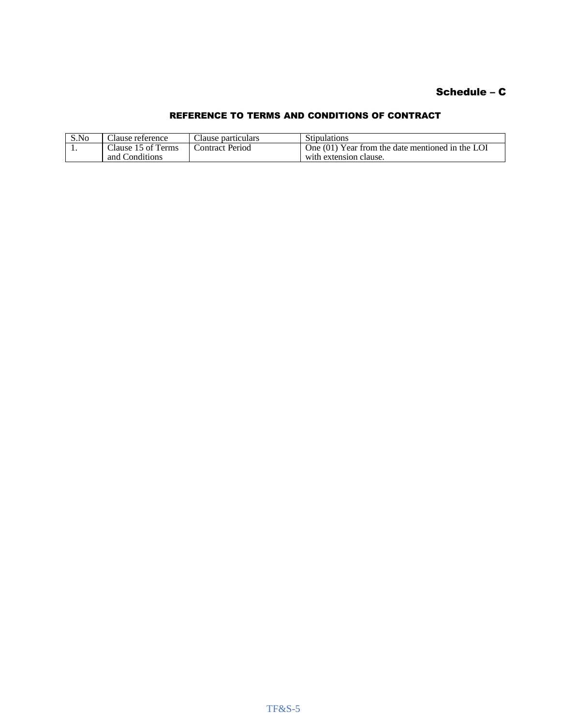#### Schedule – C

#### REFERENCE TO TERMS AND CONDITIONS OF CONTRACT

| S.No | Clause reference   | Clause particulars | <b>Stipulations</b>                              |
|------|--------------------|--------------------|--------------------------------------------------|
| . .  | Clause 15 of Terms | Contract Period    | One (01) Year from the date mentioned in the LOI |
|      | and Conditions     |                    | with extension clause.                           |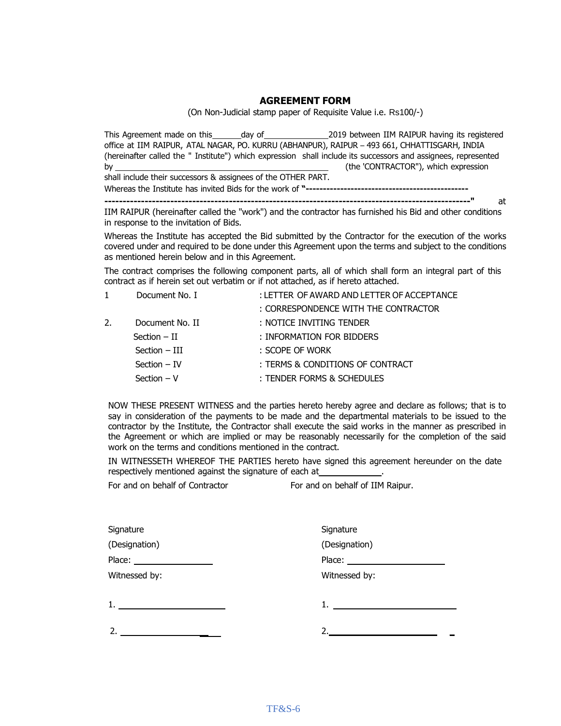#### **AGREEMENT FORM**

(On Non-Judicial stamp paper of Requisite Value i.e. Rs100/-)

This Agreement made on this day of 2019 between IIM RAIPUR having its registered office at IIM RAIPUR, ATAL NAGAR, PO. KURRU (ABHANPUR), RAIPUR – 493 661, CHHATTISGARH, INDIA (hereinafter called the " Institute") which expression shall include its successors and assignees, represented by (the 'CONTRACTOR"), which expression shall include their successors & assignees of the OTHER PART.

Whereas the Institute has invited Bids for the work of **"-----------------------------------------------**

**----------------------------------------------------------------------------------------------------"** at

IIM RAIPUR (hereinafter called the "work") and the contractor has furnished his Bid and other conditions in response to the invitation of Bids.

Whereas the Institute has accepted the Bid submitted by the Contractor for the execution of the works covered under and required to be done under this Agreement upon the terms and subject to the conditions as mentioned herein below and in this Agreement.

The contract comprises the following component parts, all of which shall form an integral part of this contract as if herein set out verbatim or if not attached, as if hereto attached.

|    | Document No. I  | : LETTER OF AWARD AND LETTER OF ACCEPTANCE |
|----|-----------------|--------------------------------------------|
|    |                 | : CORRESPONDENCE WITH THE CONTRACTOR       |
| 2. | Document No. II | : NOTICE INVITING TENDER                   |
|    | $Section - II$  | : INFORMATION FOR BIDDERS                  |
|    | Section - III   | : SCOPE OF WORK                            |
|    | $Section - IV$  | : TERMS & CONDITIONS OF CONTRACT           |
|    | $Section - V$   | : TENDER FORMS & SCHEDULES                 |

NOW THESE PRESENT WITNESS and the parties hereto hereby agree and declare as follows; that is to say in consideration of the payments to be made and the departmental materials to be issued to the contractor by the Institute, the Contractor shall execute the said works in the manner as prescribed in the Agreement or which are implied or may be reasonably necessarily for the completion of the said work on the terms and conditions mentioned in the contract.

IN WITNESSETH WHEREOF THE PARTIES hereto have signed this agreement hereunder on the date respectively mentioned against the signature of each at

| Signature                       | Signature     |
|---------------------------------|---------------|
| (Designation)                   | (Designation) |
| Place: <u>_________________</u> |               |
| Witnessed by:                   | Witnessed by: |
| 1.                              | 1.            |
| 2.                              |               |

For and on behalf of Contractor For and on behalf of IIM Raipur.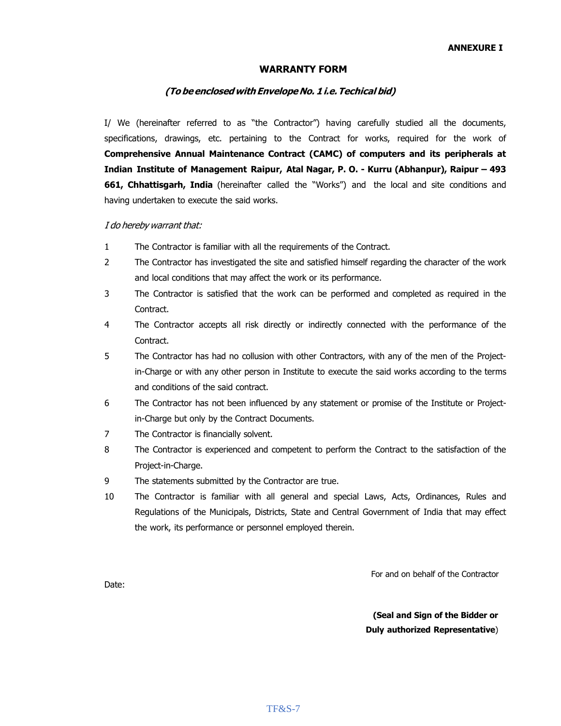#### **WARRANTY FORM**

#### **(To be enclosedwithEnvelopeNo. 1i.e.Techical bid)**

I/ We (hereinafter referred to as "the Contractor") having carefully studied all the documents, specifications, drawings, etc. pertaining to the Contract for works, required for the work of **Comprehensive Annual Maintenance Contract (CAMC) of computers and its peripherals at Indian Institute of Management Raipur, Atal Nagar, P. O. - Kurru (Abhanpur), Raipur – 493 661, Chhattisgarh, India** (hereinafter called the "Works") and the local and site conditions and having undertaken to execute the said works.

#### I do hereby warrant that:

- 1 The Contractor is familiar with all the requirements of the Contract.
- 2 The Contractor has investigated the site and satisfied himself regarding the character of the work and local conditions that may affect the work or its performance.
- 3 The Contractor is satisfied that the work can be performed and completed as required in the Contract.
- 4 The Contractor accepts all risk directly or indirectly connected with the performance of the Contract.
- 5 The Contractor has had no collusion with other Contractors, with any of the men of the Projectin-Charge or with any other person in Institute to execute the said works according to the terms and conditions of the said contract.
- 6 The Contractor has not been influenced by any statement or promise of the Institute or Projectin-Charge but only by the Contract Documents.
- 7 The Contractor is financially solvent.
- 8 The Contractor is experienced and competent to perform the Contract to the satisfaction of the Project-in-Charge.
- 9 The statements submitted by the Contractor are true.
- 10 The Contractor is familiar with all general and special Laws, Acts, Ordinances, Rules and Regulations of the Municipals, Districts, State and Central Government of India that may effect the work, its performance or personnel employed therein.

For and on behalf of the Contractor

Date:

**(Seal and Sign of the Bidder or Duly authorized Representative**)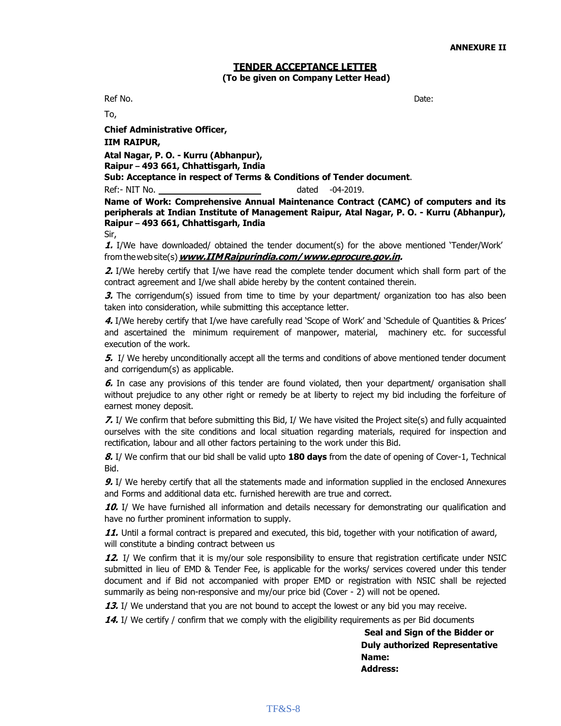#### **TENDER ACCEPTANCE LETTER (To be given on Company Letter Head)**

Ref No. Date:

To,

**Chief Administrative Officer, IIM RAIPUR, Atal Nagar, P. O. - Kurru (Abhanpur),**

**Raipur – 493 661, Chhattisgarh, India**

**Sub: Acceptance in respect of Terms & Conditions of Tender document**.

Ref:- NIT No. 2019.

**Name of Work: Comprehensive Annual Maintenance Contract (CAMC) of computers and its peripherals at Indian Institute of Management Raipur, Atal Nagar, P. O. - Kurru (Abhanpur), Raipur – 493 661, Chhattisgarh, India** Sir,

**1.** I/We have downloaded/ obtained the tender document(s) for the above mentioned 'Tender/Work' from theweb site(s)**www.IIMRaipurindia.com[/www.eprocure.gov.in.](http://www.eprocure.gov.in/)**

**2.** I/We hereby certify that I/we have read the complete tender document which shall form part of the contract agreement and I/we shall abide hereby by the content contained therein.

**3.** The corrigendum(s) issued from time to time by your department/ organization too has also been taken into consideration, while submitting this acceptance letter.

**4.** I/We hereby certify that I/we have carefully read 'Scope of Work' and 'Schedule of Quantities & Prices' and ascertained the minimum requirement of manpower, material, machinery etc. for successful execution of the work.

**5.** I/ We hereby unconditionally accept all the terms and conditions of above mentioned tender document and corrigendum(s) as applicable.

**6.** In case any provisions of this tender are found violated, then your department/ organisation shall without prejudice to any other right or remedy be at liberty to reject my bid including the forfeiture of earnest money deposit.

**7.** I/ We confirm that before submitting this Bid, I/ We have visited the Project site(s) and fully acquainted ourselves with the site conditions and local situation regarding materials, required for inspection and rectification, labour and all other factors pertaining to the work under this Bid.

**8.** I/ We confirm that our bid shall be valid upto **180 days** from the date of opening of Cover-1, Technical Bid.

**9.** I/ We hereby certify that all the statements made and information supplied in the enclosed Annexures and Forms and additional data etc. furnished herewith are true and correct.

**10.** I/ We have furnished all information and details necessary for demonstrating our qualification and have no further prominent information to supply.

**11.** Until a formal contract is prepared and executed, this bid, together with your notification of award, will constitute a binding contract between us

12. I/ We confirm that it is my/our sole responsibility to ensure that registration certificate under NSIC submitted in lieu of EMD & Tender Fee, is applicable for the works/ services covered under this tender document and if Bid not accompanied with proper EMD or registration with NSIC shall be rejected summarily as being non-responsive and my/our price bid (Cover - 2) will not be opened.

**13.** I/ We understand that you are not bound to accept the lowest or any bid you may receive.

**14.** I/ We certify / confirm that we comply with the eligibility requirements as per Bid documents

**Seal and Sign of the Bidder or Duly authorized Representative Name: Address:**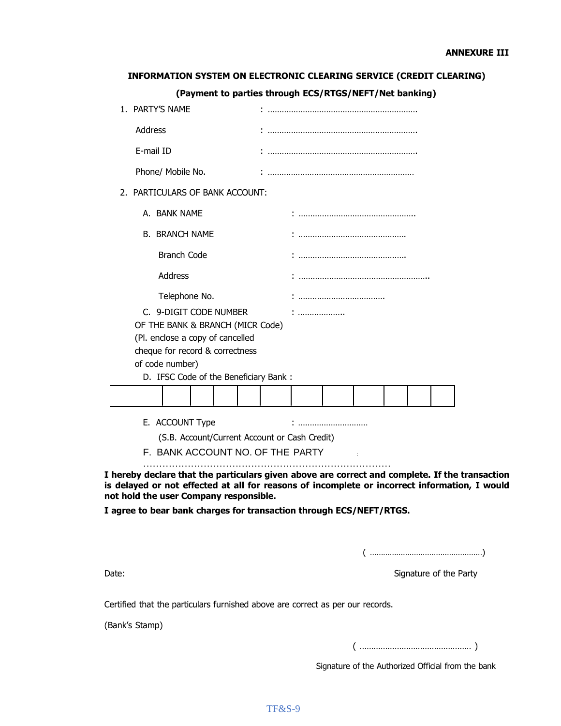#### **INFORMATION SYSTEM ON ELECTRONIC CLEARING SERVICE (CREDIT CLEARING)**

#### **(Payment to parties through ECS/RTGS/NEFT/Net banking)**

| 1. PARTY'S NAME                               |           |  |  |  |
|-----------------------------------------------|-----------|--|--|--|
| Address                                       |           |  |  |  |
| E-mail ID                                     |           |  |  |  |
| Phone/ Mobile No.                             |           |  |  |  |
| 2. PARTICULARS OF BANK ACCOUNT:               |           |  |  |  |
| A. BANK NAME                                  |           |  |  |  |
| <b>B. BRANCH NAME</b>                         |           |  |  |  |
| <b>Branch Code</b>                            |           |  |  |  |
| Address                                       |           |  |  |  |
| Telephone No.                                 |           |  |  |  |
| C. 9-DIGIT CODE NUMBER                        | : <b></b> |  |  |  |
| OF THE BANK & BRANCH (MICR Code)              |           |  |  |  |
| (Pl. enclose a copy of cancelled              |           |  |  |  |
| cheque for record & correctness               |           |  |  |  |
| of code number)                               |           |  |  |  |
| D. IFSC Code of the Beneficiary Bank:         |           |  |  |  |
|                                               |           |  |  |  |
| E. ACCOUNT Type                               |           |  |  |  |
| (S.B. Account/Current Account or Cash Credit) |           |  |  |  |
| F. BANK ACCOUNT NO. OF THE PARTY              |           |  |  |  |
|                                               |           |  |  |  |

**I agree to bear bank charges for transaction through ECS/NEFT/RTGS.**

( ……………………………………………)

Date: Signature of the Party

Certified that the particulars furnished above are correct as per our records.

(Bank's Stamp)

( ………………………………………… )

Signature of the Authorized Official from the bank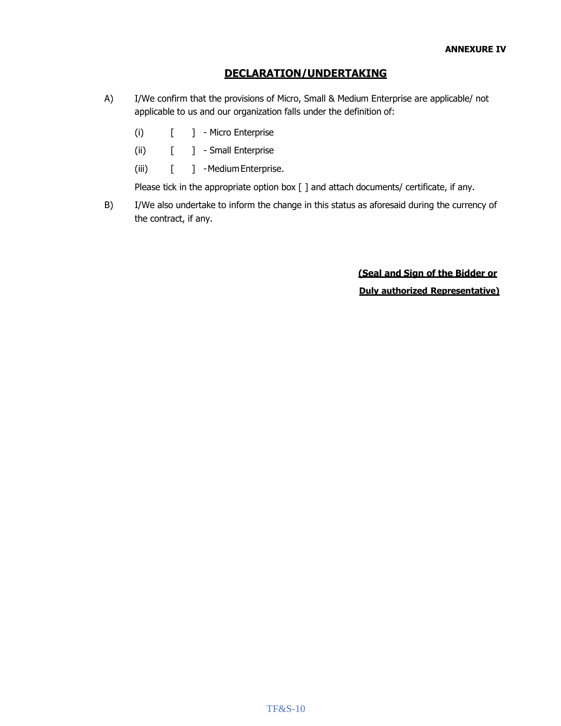#### **DECLARATION/UNDERTAKING**

- A) I/We confirm that the provisions of Micro, Small & Medium Enterprise are applicable/ not applicable to us and our organization falls under the definition of:
	- (i)  $\begin{bmatrix} 1 & -Micro \end{bmatrix}$  Micro Enterprise
	- (ii) [ ] Small Enterprise
	- (iii) [ ] -MediumEnterprise.

Please tick in the appropriate option box [ ] and attach documents/ certificate, if any.

B) I/We also undertake to inform the change in this status as aforesaid during the currency of the contract, if any.

> **(Seal and Sign of the Bidder or Duly authorized Representative)**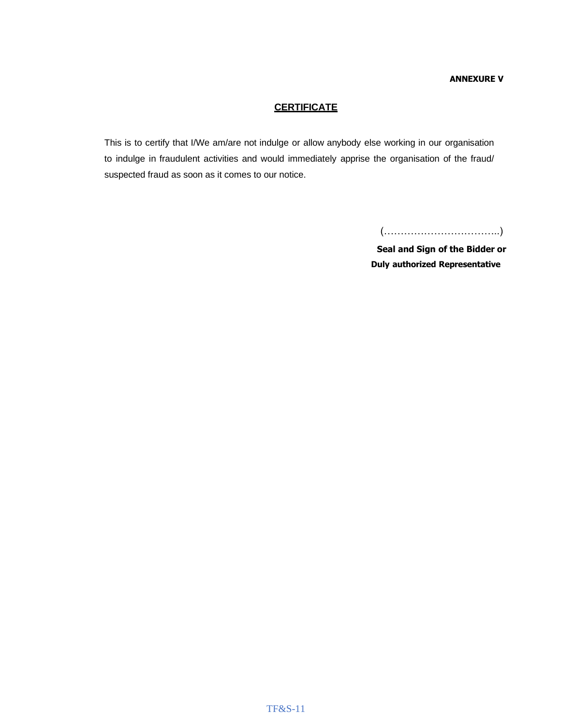#### **ANNEXURE V**

#### **CERTIFICATE**

This is to certify that I/We am/are not indulge or allow anybody else working in our organisation to indulge in fraudulent activities and would immediately apprise the organisation of the fraud/ suspected fraud as soon as it comes to our notice.

(……………………………..)

**Seal and Sign of the Bidder or Duly authorized Representative**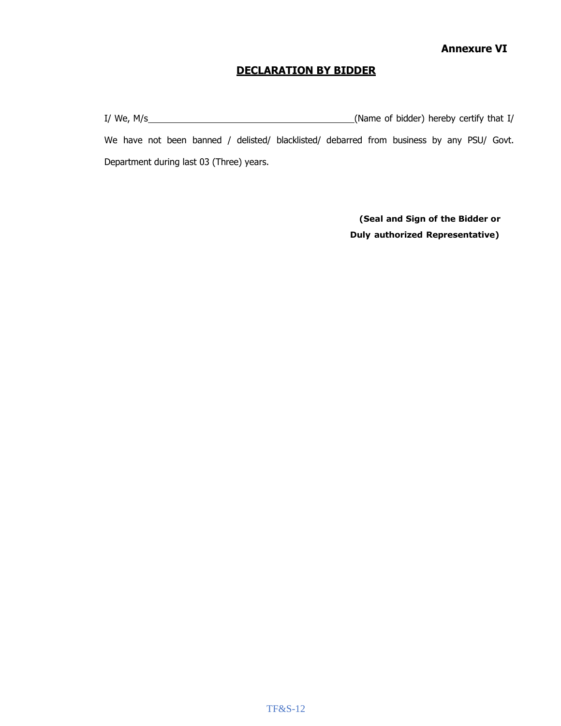#### **DECLARATION BY BIDDER**

I/ We, M/s
I. More of bidder) hereby certify that I/ We have not been banned / delisted/ blacklisted/ debarred from business by any PSU/ Govt. Department during last 03 (Three) years.

> **(Seal and Sign of the Bidder or Duly authorized Representative)**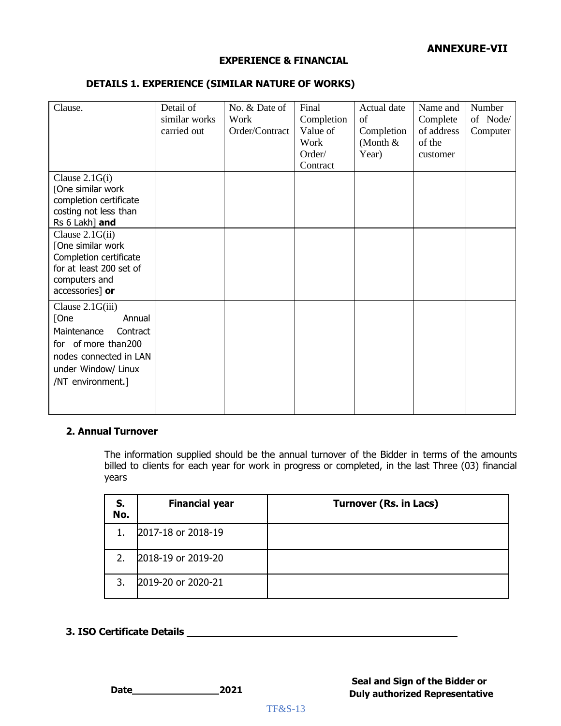#### **ANNEXURE-VII**

#### **EXPERIENCE & FINANCIAL**

#### **DETAILS 1. EXPERIENCE (SIMILAR NATURE OF WORKS)**

| Clause.                                                                                                                                                     | Detail of<br>similar works<br>carried out | No. & Date of<br>Work<br>Order/Contract | Final<br>Completion<br>Value of<br>Work<br>Order/<br>Contract | Actual date<br>of<br>Completion<br>(Month $&$<br>Year) | Name and<br>Complete<br>of address<br>of the<br>customer | Number<br>of Node/<br>Computer |
|-------------------------------------------------------------------------------------------------------------------------------------------------------------|-------------------------------------------|-----------------------------------------|---------------------------------------------------------------|--------------------------------------------------------|----------------------------------------------------------|--------------------------------|
| Clause $2.1G(i)$<br>[One similar work<br>completion certificate<br>costing not less than<br>Rs 6 Lakh] and                                                  |                                           |                                         |                                                               |                                                        |                                                          |                                |
| Clause $2.1G(ii)$<br>[One similar work<br>Completion certificate<br>for at least 200 set of<br>computers and<br>accessories] or                             |                                           |                                         |                                                               |                                                        |                                                          |                                |
| Clause 2.1G(iii)<br>Annual<br>[One<br>Maintenance<br>Contract<br>for of more than 200<br>nodes connected in LAN<br>under Window/ Linux<br>/NT environment.] |                                           |                                         |                                                               |                                                        |                                                          |                                |

#### **2. Annual Turnover**

The information supplied should be the annual turnover of the Bidder in terms of the amounts billed to clients for each year for work in progress or completed, in the last Three (03) financial years

| S.<br>No. | <b>Financial year</b> | <b>Turnover (Rs. in Lacs)</b> |
|-----------|-----------------------|-------------------------------|
| 1.        | 2017-18 or 2018-19    |                               |
|           | 2018-19 or 2019-20    |                               |
|           | 2019-20 or 2020-21    |                               |

#### **3. ISO Certificate Details**

**Date 2021**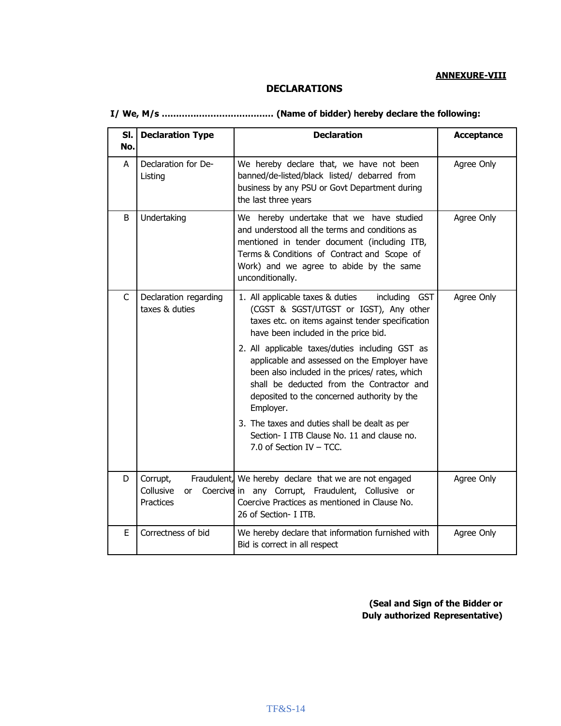#### **DECLARATIONS**

| SI.<br>No. | <b>Declaration Type</b>                                                                                                                                                                                                                                                 | <b>Declaration</b>                                                                                                                                                                                                                                                                                                                                                                                                                                                                                                                                                                | Acceptance |
|------------|-------------------------------------------------------------------------------------------------------------------------------------------------------------------------------------------------------------------------------------------------------------------------|-----------------------------------------------------------------------------------------------------------------------------------------------------------------------------------------------------------------------------------------------------------------------------------------------------------------------------------------------------------------------------------------------------------------------------------------------------------------------------------------------------------------------------------------------------------------------------------|------------|
| A          | Declaration for De-<br>We hereby declare that, we have not been<br>banned/de-listed/black listed/ debarred from<br>Listing<br>business by any PSU or Govt Department during<br>the last three years                                                                     |                                                                                                                                                                                                                                                                                                                                                                                                                                                                                                                                                                                   | Agree Only |
| B          | Undertaking<br>We hereby undertake that we have studied<br>and understood all the terms and conditions as<br>mentioned in tender document (including ITB,<br>Terms & Conditions of Contract and Scope of<br>Work) and we agree to abide by the same<br>unconditionally. |                                                                                                                                                                                                                                                                                                                                                                                                                                                                                                                                                                                   | Agree Only |
| C          | Declaration regarding<br>taxes & duties                                                                                                                                                                                                                                 | 1. All applicable taxes & duties<br>including GST<br>(CGST & SGST/UTGST or IGST), Any other<br>taxes etc. on items against tender specification<br>have been included in the price bid.<br>2. All applicable taxes/duties including GST as<br>applicable and assessed on the Employer have<br>been also included in the prices/ rates, which<br>shall be deducted from the Contractor and<br>deposited to the concerned authority by the<br>Employer.<br>3. The taxes and duties shall be dealt as per<br>Section- I ITB Clause No. 11 and clause no.<br>7.0 of Section IV - TCC. | Agree Only |
| D          | Corrupt,<br>Collusive<br>or<br>Practices                                                                                                                                                                                                                                | Fraudulent, We hereby declare that we are not engaged<br>Coercive in any Corrupt, Fraudulent, Collusive or<br>Coercive Practices as mentioned in Clause No.<br>26 of Section- I ITB.                                                                                                                                                                                                                                                                                                                                                                                              | Agree Only |
| E          | Correctness of bid                                                                                                                                                                                                                                                      | We hereby declare that information furnished with<br>Bid is correct in all respect                                                                                                                                                                                                                                                                                                                                                                                                                                                                                                | Agree Only |

**(Seal and Sign of the Bidder or Duly authorized Representative)**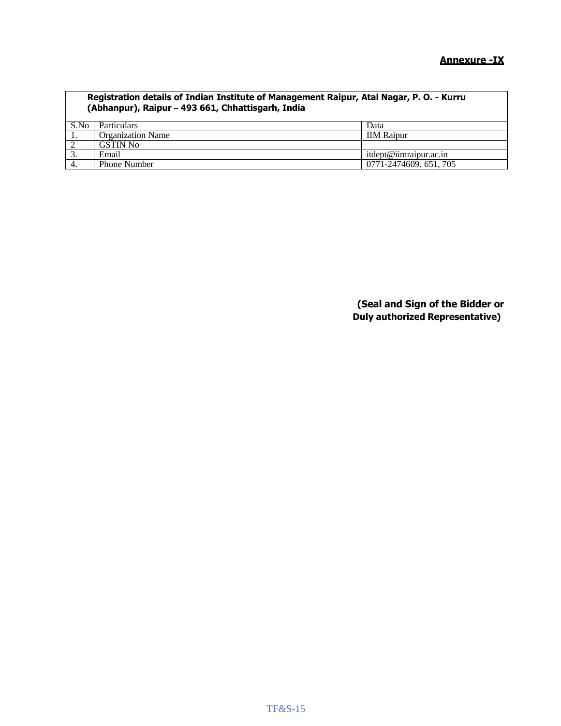| Registration details of Indian Institute of Management Raipur, Atal Nagar, P. O. - Kurru<br>(Abhanpur), Raipur - 493 661, Chhattisgarh, India |                          |                        |  |  |
|-----------------------------------------------------------------------------------------------------------------------------------------------|--------------------------|------------------------|--|--|
| S.No                                                                                                                                          | Particulars              | Data                   |  |  |
| -1.                                                                                                                                           | <b>Organization Name</b> | <b>IIM Raipur</b>      |  |  |
| $\overline{2}$                                                                                                                                | <b>GSTIN No</b>          |                        |  |  |
| $\overline{3}$ .                                                                                                                              | Email                    | itdept@iimraipur.ac.in |  |  |
| $\overline{4}$ .                                                                                                                              | Phone Number             | 0771-2474609. 651, 705 |  |  |

**(Seal and Sign of the Bidder or Duly authorized Representative)**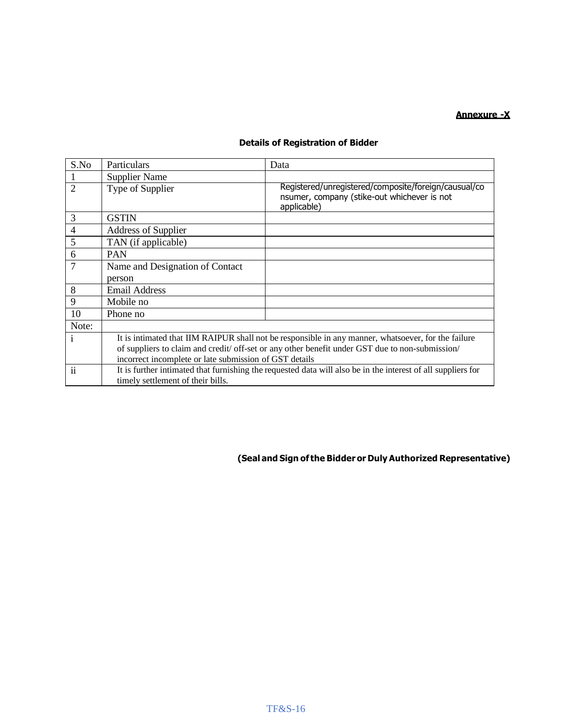#### **Annexure -X**

#### **Details of Registration of Bidder**

| S.No           | Particulars                                                                                                                                                                                                                                                      | Data                                                                                                               |  |
|----------------|------------------------------------------------------------------------------------------------------------------------------------------------------------------------------------------------------------------------------------------------------------------|--------------------------------------------------------------------------------------------------------------------|--|
|                | <b>Supplier Name</b>                                                                                                                                                                                                                                             |                                                                                                                    |  |
| $\overline{2}$ | Type of Supplier                                                                                                                                                                                                                                                 | Registered/unregistered/composite/foreign/causual/co<br>nsumer, company (stike-out whichever is not<br>applicable) |  |
| 3              | <b>GSTIN</b>                                                                                                                                                                                                                                                     |                                                                                                                    |  |
| $\overline{4}$ | Address of Supplier                                                                                                                                                                                                                                              |                                                                                                                    |  |
| 5              | TAN (if applicable)                                                                                                                                                                                                                                              |                                                                                                                    |  |
| 6              | <b>PAN</b>                                                                                                                                                                                                                                                       |                                                                                                                    |  |
| 7              | Name and Designation of Contact                                                                                                                                                                                                                                  |                                                                                                                    |  |
|                | person                                                                                                                                                                                                                                                           |                                                                                                                    |  |
| 8              | <b>Email Address</b>                                                                                                                                                                                                                                             |                                                                                                                    |  |
| 9              | Mobile no                                                                                                                                                                                                                                                        |                                                                                                                    |  |
| 10             | Phone no                                                                                                                                                                                                                                                         |                                                                                                                    |  |
| Note:          |                                                                                                                                                                                                                                                                  |                                                                                                                    |  |
| 1              | It is intimated that IIM RAIPUR shall not be responsible in any manner, whatsoever, for the failure<br>of suppliers to claim and credit/ off-set or any other benefit under GST due to non-submission/<br>incorrect incomplete or late submission of GST details |                                                                                                                    |  |
| $\ddot{\rm n}$ | It is further intimated that furnishing the requested data will also be in the interest of all suppliers for<br>timely settlement of their bills.                                                                                                                |                                                                                                                    |  |

#### **(Seal and Sign of the Bidder or Duly Authorized Representative)**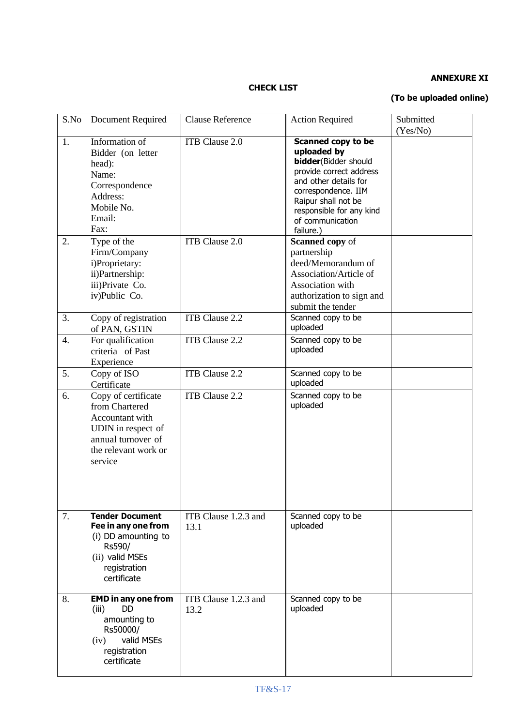#### **ANNEXURE XI**

#### **CHECK LIST**

#### **(To be uploaded online)**

| S.No     | <b>Document Required</b>                                                                                                                                                                                                     | <b>Clause Reference</b>          | <b>Action Required</b>                                                                                                                                                                                                                                                                                                                                                                          | Submitted |
|----------|------------------------------------------------------------------------------------------------------------------------------------------------------------------------------------------------------------------------------|----------------------------------|-------------------------------------------------------------------------------------------------------------------------------------------------------------------------------------------------------------------------------------------------------------------------------------------------------------------------------------------------------------------------------------------------|-----------|
| 1.<br>2. | Information of<br>Bidder (on letter<br>head):<br>Name:<br>Correspondence<br>Address:<br>Mobile No.<br>Email:<br>Fax:<br>Type of the<br>Firm/Company<br>i)Proprietary:<br>ii)Partnership:<br>iii)Private Co.<br>iv)Public Co. | ITB Clause 2.0<br>ITB Clause 2.0 | Scanned copy to be<br>uploaded by<br><b>bidder</b> (Bidder should<br>provide correct address<br>and other details for<br>correspondence. IIM<br>Raipur shall not be<br>responsible for any kind<br>of communication<br>failure.)<br><b>Scanned copy of</b><br>partnership<br>deed/Memorandum of<br>Association/Article of<br>Association with<br>authorization to sign and<br>submit the tender | (Yes/No)  |
| 3.       | Copy of registration<br>of PAN, GSTIN                                                                                                                                                                                        | <b>ITB</b> Clause 2.2            | Scanned copy to be<br>uploaded                                                                                                                                                                                                                                                                                                                                                                  |           |
| 4.       | For qualification<br>criteria of Past<br>Experience                                                                                                                                                                          | ITB Clause 2.2                   | Scanned copy to be<br>uploaded                                                                                                                                                                                                                                                                                                                                                                  |           |
| 5.       | Copy of ISO<br>Certificate                                                                                                                                                                                                   | ITB Clause 2.2                   | Scanned copy to be<br>uploaded                                                                                                                                                                                                                                                                                                                                                                  |           |
| 6.       | Copy of certificate<br>from Chartered<br>Accountant with<br>UDIN in respect of<br>annual turnover of<br>the relevant work or<br>service                                                                                      | ITB Clause 2.2                   | Scanned copy to be<br>uploaded                                                                                                                                                                                                                                                                                                                                                                  |           |
| 7.       | <b>Tender Document</b><br>Fee in any one from<br>(i) DD amounting to<br>Rs590/<br>(ii) valid MSEs<br>registration<br>certificate                                                                                             | ITB Clause 1.2.3 and<br>13.1     | Scanned copy to be<br>uploaded                                                                                                                                                                                                                                                                                                                                                                  |           |
| 8.       | <b>EMD</b> in any one from<br><b>DD</b><br>(iii)<br>amounting to<br>Rs50000/<br>valid MSEs<br>(iv)<br>registration<br>certificate                                                                                            | ITB Clause 1.2.3 and<br>13.2     | Scanned copy to be<br>uploaded                                                                                                                                                                                                                                                                                                                                                                  |           |